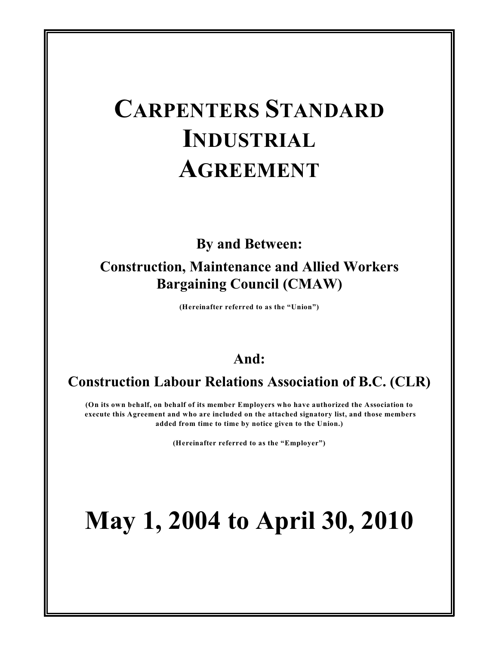# **CARPENTERS STANDARD INDUSTRIAL AGREEMENT**

**By and Between:**

# **Construction, Maintenance and Allied Workers Bargaining Council (CMAW)**

**(Hereinafter referred to as the "Union")**

# **And:**

# **Construction Labour Relations Association of B.C. (CLR)**

**(On its own behalf, on behalf of its member Employers who have authorized the Association to execute this Agreement and who are included on the attached signatory list, and those members added from time to time by notice given to the Union.)**

**(Hereinafter referred to as the "Employer")**

# **May 1, 2004 to April 30, 2010**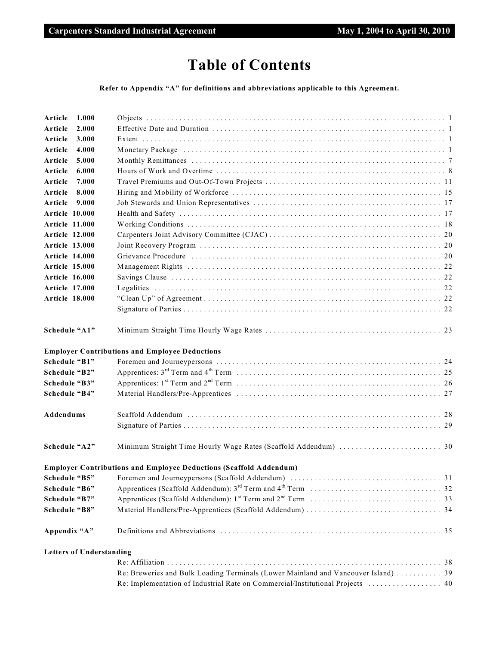# **Table of Contents**

**Refer to Appendix "A" for definitions and abbreviations applicable to this Agreement.**

| Article               | 1.000                           |                                                                                                                                                                                                                                |
|-----------------------|---------------------------------|--------------------------------------------------------------------------------------------------------------------------------------------------------------------------------------------------------------------------------|
| Article               | 2.000                           |                                                                                                                                                                                                                                |
| Article               | 3.000                           |                                                                                                                                                                                                                                |
| Article               | 4.000                           | Monetary Package (a) intermediately contained and all the contract of the contract of the contract of the contract of the contract of the contract of the contract of the contract of the contract of the contract of the cont |
| Article               | 5.000                           |                                                                                                                                                                                                                                |
| Article               | 6.000                           |                                                                                                                                                                                                                                |
| Article               | 7.000                           |                                                                                                                                                                                                                                |
| Article               | 8.000                           |                                                                                                                                                                                                                                |
| Article               | 9.000                           |                                                                                                                                                                                                                                |
| Article 10.000        |                                 |                                                                                                                                                                                                                                |
| <b>Article 11.000</b> |                                 |                                                                                                                                                                                                                                |
| <b>Article 12.000</b> |                                 |                                                                                                                                                                                                                                |
| <b>Article 13.000</b> |                                 |                                                                                                                                                                                                                                |
| <b>Article 14.000</b> |                                 |                                                                                                                                                                                                                                |
| <b>Article 15.000</b> |                                 |                                                                                                                                                                                                                                |
| <b>Article 16.000</b> |                                 |                                                                                                                                                                                                                                |
| <b>Article 17.000</b> |                                 |                                                                                                                                                                                                                                |
| <b>Article 18.000</b> |                                 |                                                                                                                                                                                                                                |
|                       |                                 |                                                                                                                                                                                                                                |
| Schedule "A1"         |                                 |                                                                                                                                                                                                                                |
|                       |                                 | <b>Employer Contributions and Employee Deductions</b>                                                                                                                                                                          |
| Schedule "B1"         |                                 |                                                                                                                                                                                                                                |
| Schedule "B2"         |                                 |                                                                                                                                                                                                                                |
| Schedule "B3"         |                                 |                                                                                                                                                                                                                                |
| Schedule "B4"         |                                 |                                                                                                                                                                                                                                |
| Addendums             |                                 |                                                                                                                                                                                                                                |
|                       |                                 |                                                                                                                                                                                                                                |
| Schedule "A2"         |                                 |                                                                                                                                                                                                                                |
|                       |                                 | <b>Employer Contributions and Employee Deductions (Scaffold Addendum)</b>                                                                                                                                                      |
| Schedule "B5"         |                                 | Foremen and Journeypersons (Scaffold Addendum)<br>31                                                                                                                                                                           |
| Schedule "B6"         |                                 |                                                                                                                                                                                                                                |
| Schedule "B7"         |                                 |                                                                                                                                                                                                                                |
| Schedule "B8"         |                                 |                                                                                                                                                                                                                                |
| Appendix "A"          |                                 |                                                                                                                                                                                                                                |
|                       | <b>Letters of Understanding</b> |                                                                                                                                                                                                                                |
|                       |                                 |                                                                                                                                                                                                                                |
|                       |                                 | Re: Breweries and Bulk Loading Terminals (Lower Mainland and Vancouver Island)  39                                                                                                                                             |
|                       |                                 | Re: Implementation of Industrial Rate on Commercial/Institutional Projects  40                                                                                                                                                 |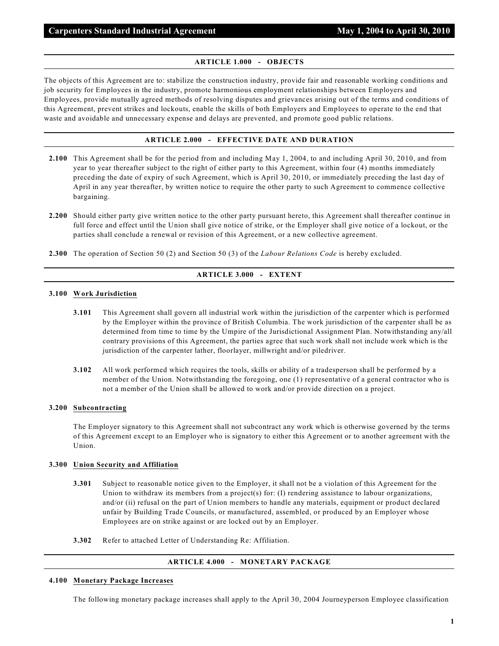#### **ARTICLE 1.000 - OBJECTS**

The objects of this Agreement are to: stabilize the construction industry, provide fair and reasonable working conditions and job security for Employees in the industry, promote harmonious employment relationships between Employers and Employees, provide mutually agreed methods of resolving disputes and grievances arising out of the terms and conditions of this Agreement, prevent strikes and lockouts, enable the skills of both Employers and Employees to operate to the end that waste and avoidable and unnecessary expense and delays are prevented, and promote good public relations.

# **ARTICLE 2.000 - EFFECTIVE DATE AND DURATION**

- **2.100** This Agreement shall be for the period from and including May 1, 2004, to and including April 30, 2010, and from year to year thereafter subject to the right of either party to this Agreement, within four (4) months immediately preceding the date of expiry of such Agreement, which is April 30, 2010, or immediately preceding the last day of April in any year thereafter, by written notice to require the other party to such Agreement to commence collective bargaining.
- **2.200** Should either party give written notice to the other party pursuant hereto, this Agreement shall thereafter continue in full force and effect until the Union shall give notice of strike, or the Employer shall give notice of a lockout, or the parties shall conclude a renewal or revision of this Agreement, or a new collective agreement.
- **2.300** The operation of Section 50 (2) and Section 50 (3) of the *Labour Relations Code* is hereby excluded.

# **ARTICLE 3.000 - EXTENT**

#### **3.100 Work Jurisdiction**

- **3.101** This Agreement shall govern all industrial work within the jurisdiction of the carpenter which is performed by the Employer within the province of British Columbia. The work jurisdiction of the carpenter shall be as determined from time to time by the Umpire of the Jurisdictional Assignment Plan. Notwithstanding any/all contrary provisions of this Agreement, the parties agree that such work shall not include work which is the jurisdiction of the carpenter lather, floorlayer, millwright and/or piledriver.
- **3.102** All work performed which requires the tools, skills or ability of a tradesperson shall be performed by a member of the Union. Notwithstanding the foregoing, one (1) representative of a general contractor who is not a member of the Union shall be allowed to work and/or provide direction on a project.

#### **3.200 Subcontracting**

The Employer signatory to this Agreement shall not subcontract any work which is otherwise governed by the terms of this Agreement except to an Employer who is signatory to either this Agreement or to another agreement with the Union.

#### **3.300 Union Security and Affiliation**

- **3.301** Subject to reasonable notice given to the Employer, it shall not be a violation of this Agreement for the Union to withdraw its members from a project(s) for: (I) rendering assistance to labour organizations, and/or (ii) refusal on the part of Union members to handle any materials, equipment or product declared unfair by Building Trade Councils, or manufactured, assembled, or produced by an Employer whose Employees are on strike against or are locked out by an Employer.
- **3.302** Refer to attached Letter of Understanding Re: Affiliation.

# **ARTICLE 4.000 - MONETARY PACKAGE**

#### **4.100 Monetary Package Increases**

The following monetary package increases shall apply to the April 30, 2004 Journeyperson Employee classification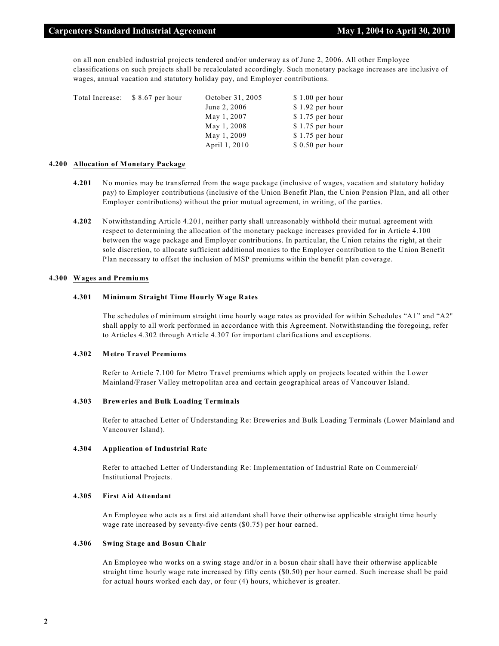on all non enabled industrial projects tendered and/or underway as of June 2, 2006. All other Employee classifications on such projects shall be recalculated accordingly. Such monetary package increases are inclusive of wages, annual vacation and statutory holiday pay, and Employer contributions.

| Total Increase: \$8.67 per hour | October 31, 2005 | $$1.00$ per hour |
|---------------------------------|------------------|------------------|
|                                 | June 2, 2006     | $$1.92$ per hour |
|                                 | May 1, 2007      | $$1.75$ per hour |
|                                 | May 1, 2008      | $$1.75$ per hour |
|                                 | May 1, 2009      | $$1.75$ per hour |
|                                 | April 1, 2010    | $$0.50$ per hour |

#### **4.200 Allocation of Monetary Package**

- **4.201** No monies may be transferred from the wage package (inclusive of wages, vacation and statutory holiday pay) to Employer contributions (inclusive of the Union Benefit Plan, the Union Pension Plan, and all other Employer contributions) without the prior mutual agreement, in writing, of the parties.
- **4.202** Notwithstanding Article 4.201, neither party shall unreasonably withhold their mutual agreement with respect to determining the allocation of the monetary package increases provided for in Article 4.100 between the wage package and Employer contributions. In particular, the Union retains the right, at their sole discretion, to allocate sufficient additional monies to the Employer contribution to the Union Benefit Plan necessary to offset the inclusion of MSP premiums within the benefit plan coverage.

#### **4.300 Wages and Premiums**

#### **4.301 Minimum Straight Time Hourly Wage Rates**

The schedules of minimum straight time hourly wage rates as provided for within Schedules "A1" and "A2" shall apply to all work performed in accordance with this Agreement. Notwithstanding the foregoing, refer to Articles 4.302 through Article 4.307 for important clarifications and exceptions.

#### **4.302 Metro Travel Premiums**

Refer to Article 7.100 for Metro Travel premiums which apply on projects located within the Lower Mainland/Fraser Valley metropolitan area and certain geographical areas of Vancouver Island.

#### **4.303 Breweries and Bulk Loading Terminals**

Refer to attached Letter of Understanding Re: Breweries and Bulk Loading Terminals (Lower Mainland and Vancouver Island).

#### **4.304 Application of Industrial Rate**

Refer to attached Letter of Understanding Re: Implementation of Industrial Rate on Commercial/ Institutional Projects.

#### **4.305 First Aid Attendant**

An Employee who acts as a first aid attendant shall have their otherwise applicable straight time hourly wage rate increased by seventy-five cents (\$0.75) per hour earned.

#### **4.306 Swing Stage and Bosun Chair**

An Employee who works on a swing stage and/or in a bosun chair shall have their otherwise applicable straight time hourly wage rate increased by fifty cents (\$0.50) per hour earned. Such increase shall be paid for actual hours worked each day, or four (4) hours, whichever is greater.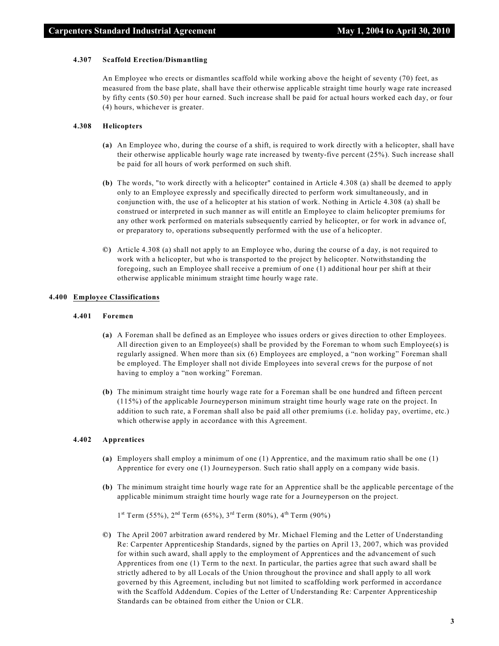#### **4.307 Scaffold Erection/Dismantling**

An Employee who erects or dismantles scaffold while working above the height of seventy (70) feet, as measured from the base plate, shall have their otherwise applicable straight time hourly wage rate increased by fifty cents (\$0.50) per hour earned. Such increase shall be paid for actual hours worked each day, or four (4) hours, whichever is greater.

#### **4.308 Helicopters**

- **(a)** An Employee who, during the course of a shift, is required to work directly with a helicopter, shall have their otherwise applicable hourly wage rate increased by twenty-five percent (25%). Such increase shall be paid for all hours of work performed on such shift.
- **(b)** The words, "to work directly with a helicopter" contained in Article 4.308 (a) shall be deemed to apply only to an Employee expressly and specifically directed to perform work simultaneously, and in conjunction with, the use of a helicopter at his station of work. Nothing in Article 4.308 (a) shall be construed or interpreted in such manner as will entitle an Employee to claim helicopter premiums for any other work performed on materials subsequently carried by helicopter, or for work in advance of, or preparatory to, operations subsequently performed with the use of a helicopter.
- **©)** Article 4.308 (a) shall not apply to an Employee who, during the course of a day, is not required to work with a helicopter, but who is transported to the project by helicopter. Notwithstanding the foregoing, such an Employee shall receive a premium of one (1) additional hour per shift at their otherwise applicable minimum straight time hourly wage rate.

#### **4.400 Employee Classifications**

#### **4.401 Foremen**

- **(a)** A Foreman shall be defined as an Employee who issues orders or gives direction to other Employees. All direction given to an  $Emplogee(s)$  shall be provided by the Foreman to whom such  $Emplogee(s)$  is regularly assigned. When more than six (6) Employees are employed, a "non working" Foreman shall be employed. The Employer shall not divide Employees into several crews for the purpose of not having to employ a "non working" Foreman.
- **(b)** The minimum straight time hourly wage rate for a Foreman shall be one hundred and fifteen percent (115%) of the applicable Journeyperson minimum straight time hourly wage rate on the project. In addition to such rate, a Foreman shall also be paid all other premiums (i.e. holiday pay, overtime, etc.) which otherwise apply in accordance with this Agreement.

#### **4.402 Apprentices**

- **(a)** Employers shall employ a minimum of one (1) Apprentice, and the maximum ratio shall be one (1) Apprentice for every one (1) Journeyperson. Such ratio shall apply on a company wide basis.
- **(b)** The minimum straight time hourly wage rate for an Apprentice shall be the applicable percentage of the applicable minimum straight time hourly wage rate for a Journeyperson on the project.

 $1<sup>st</sup>$  Term (55%),  $2<sup>nd</sup>$  Term (65%),  $3<sup>rd</sup>$  Term (80%),  $4<sup>th</sup>$  Term (90%)

**©)** The April 2007 arbitration award rendered by Mr. Michael Fleming and the Letter of Understanding Re: Carpenter Apprenticeship Standards, signed by the parties on April 13, 2007, which was provided for within such award, shall apply to the employment of Apprentices and the advancement of such Apprentices from one (1) Term to the next. In particular, the parties agree that such award shall be strictly adhered to by all Locals of the Union throughout the province and shall apply to all work governed by this Agreement, including but not limited to scaffolding work performed in accordance with the Scaffold Addendum. Copies of the Letter of Understanding Re: Carpenter Apprenticeship Standards can be obtained from either the Union or CLR.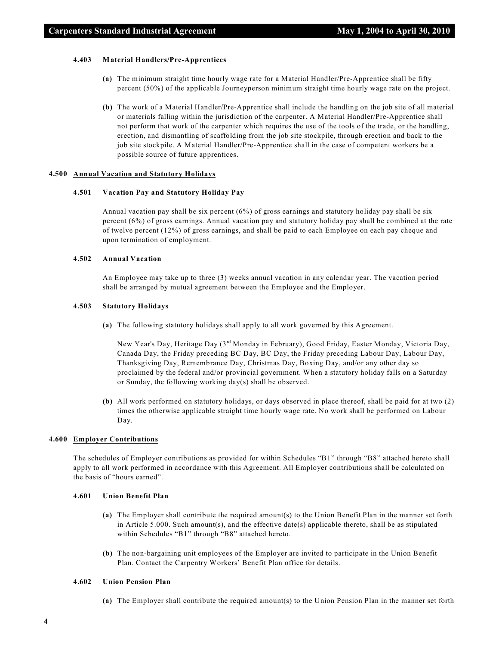#### **4.403 Material Handlers/Pre-Apprentices**

- **(a)** The minimum straight time hourly wage rate for a Material Handler/Pre-Apprentice shall be fifty percent (50%) of the applicable Journeyperson minimum straight time hourly wage rate on the project.
- **(b)** The work of a Material Handler/Pre-Apprentice shall include the handling on the job site of all material or materials falling within the jurisdiction of the carpenter. A Material Handler/Pre-Apprentice shall not perform that work of the carpenter which requires the use of the tools of the trade, or the handling, erection, and dismantling of scaffolding from the job site stockpile, through erection and back to the job site stockpile. A Material Handler/Pre-Apprentice shall in the case of competent workers be a possible source of future apprentices.

#### **4.500 Annual Vacation and Statutory Holidays**

# **4.501 Vacation Pay and Statutory Holiday Pay**

Annual vacation pay shall be six percent (6%) of gross earnings and statutory holiday pay shall be six percent (6%) of gross earnings. Annual vacation pay and statutory holiday pay shall be combined at the rate of twelve percent (12%) of gross earnings, and shall be paid to each Employee on each pay cheque and upon termination of employment.

#### **4.502 Annual Vacation**

An Employee may take up to three (3) weeks annual vacation in any calendar year. The vacation period shall be arranged by mutual agreement between the Employee and the Employer.

#### **4.503 Statutory Holidays**

**(a)** The following statutory holidays shall apply to all work governed by this Agreement.

New Year's Day, Heritage Day (3<sup>rd</sup> Monday in February), Good Friday, Easter Monday, Victoria Day, Canada Day, the Friday preceding BC Day, BC Day, the Friday preceding Labour Day, Labour Day, Thanksgiving Day, Remembrance Day, Christmas Day, Boxing Day, and/or any other day so proclaimed by the federal and/or provincial government. When a statutory holiday falls on a Saturday or Sunday, the following working day(s) shall be observed.

**(b)** All work performed on statutory holidays, or days observed in place thereof, shall be paid for at two (2) times the otherwise applicable straight time hourly wage rate. No work shall be performed on Labour Day.

#### **4.600 Employer Contributions**

The schedules of Employer contributions as provided for within Schedules "B1" through "B8" attached hereto shall apply to all work performed in accordance with this Agreement. All Employer contributions shall be calculated on the basis of "hours earned".

#### **4.601 Union Benefit Plan**

- **(a)** The Employer shall contribute the required amount(s) to the Union Benefit Plan in the manner set forth in Article 5.000. Such amount(s), and the effective date(s) applicable thereto, shall be as stipulated within Schedules "B1" through "B8" attached hereto.
- **(b)** The non-bargaining unit employees of the Employer are invited to participate in the Union Benefit Plan. Contact the Carpentry Workers' Benefit Plan office for details.

#### **4.602 Union Pension Plan**

**(a)** The Employer shall contribute the required amount(s) to the Union Pension Plan in the manner set forth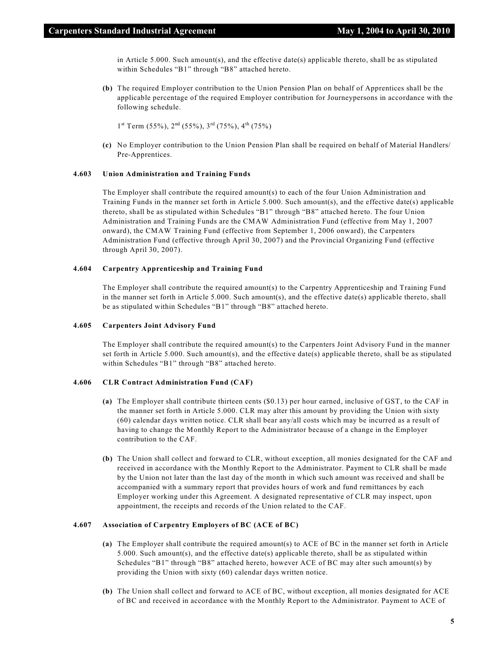in Article 5.000. Such amount(s), and the effective date(s) applicable thereto, shall be as stipulated within Schedules "B1" through "B8" attached hereto.

**(b)** The required Employer contribution to the Union Pension Plan on behalf of Apprentices shall be the applicable percentage of the required Employer contribution for Journeypersons in accordance with the following schedule.

 $1<sup>st</sup> Term (55%), 2<sup>nd</sup> (55%), 3<sup>rd</sup> (75%), 4<sup>th</sup> (75%)$ 

**(c)** No Employer contribution to the Union Pension Plan shall be required on behalf of Material Handlers/ Pre-Apprentices.

#### **4.603 Union Administration and Training Funds**

The Employer shall contribute the required amount(s) to each of the four Union Administration and Training Funds in the manner set forth in Article 5.000. Such amount(s), and the effective date(s) applicable thereto, shall be as stipulated within Schedules "B1" through "B8" attached hereto. The four Union Administration and Training Funds are the CMAW Administration Fund (effective from May 1, 2007 onward), the CMAW Training Fund (effective from September 1, 2006 onward), the Carpenters Administration Fund (effective through April 30, 2007) and the Provincial Organizing Fund (effective through April 30, 2007).

#### **4.604 Carpentry Apprenticeship and Training Fund**

The Employer shall contribute the required amount(s) to the Carpentry Apprenticeship and Training Fund in the manner set forth in Article 5.000. Such amount(s), and the effective date(s) applicable thereto, shall be as stipulated within Schedules "B1" through "B8" attached hereto.

#### **4.605 Carpenters Joint Advisory Fund**

The Employer shall contribute the required amount(s) to the Carpenters Joint Advisory Fund in the manner set forth in Article 5.000. Such amount(s), and the effective date(s) applicable thereto, shall be as stipulated within Schedules "B1" through "B8" attached hereto.

#### **4.606 CLR Contract Administration Fund (CAF)**

- **(a)** The Employer shall contribute thirteen cents (\$0.13) per hour earned, inclusive of GST, to the CAF in the manner set forth in Article 5.000. CLR may alter this amount by providing the Union with sixty (60) calendar days written notice. CLR shall bear any/all costs which may be incurred as a result of having to change the Monthly Report to the Administrator because of a change in the Employer contribution to the CAF.
- **(b)** The Union shall collect and forward to CLR, without exception, all monies designated for the CAF and received in accordance with the Monthly Report to the Administrator. Payment to CLR shall be made by the Union not later than the last day of the month in which such amount was received and shall be accompanied with a summary report that provides hours of work and fund remittances by each Employer working under this Agreement. A designated representative of CLR may inspect, upon appointment, the receipts and records of the Union related to the CAF.

#### **4.607 Association of Carpentry Employers of BC (ACE of BC)**

- **(a)** The Employer shall contribute the required amount(s) to ACE of BC in the manner set forth in Article 5.000. Such amount(s), and the effective date(s) applicable thereto, shall be as stipulated within Schedules "B1" through "B8" attached hereto, however ACE of BC may alter such amount(s) by providing the Union with sixty (60) calendar days written notice.
- **(b)** The Union shall collect and forward to ACE of BC, without exception, all monies designated for ACE of BC and received in accordance with the Monthly Report to the Administrator. Payment to ACE of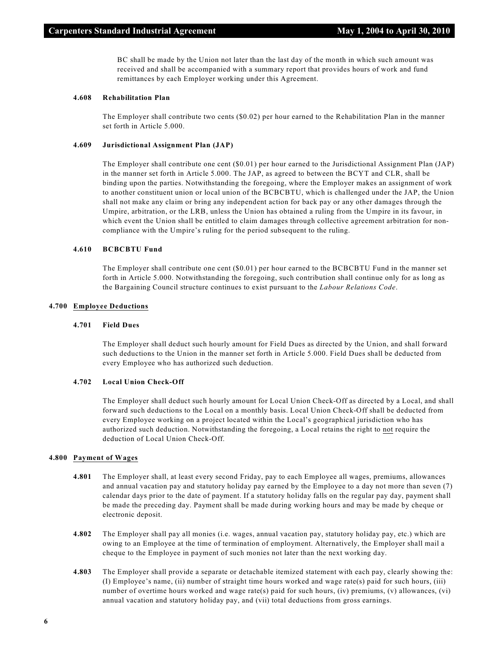BC shall be made by the Union not later than the last day of the month in which such amount was received and shall be accompanied with a summary report that provides hours of work and fund remittances by each Employer working under this Agreement.

#### **4.608 Rehabilitation Plan**

The Employer shall contribute two cents (\$0.02) per hour earned to the Rehabilitation Plan in the manner set forth in Article 5.000.

#### **4.609 Jurisdictional Assignment Plan (JAP)**

The Employer shall contribute one cent (\$0.01) per hour earned to the Jurisdictional Assignment Plan (JAP) in the manner set forth in Article 5.000. The JAP, as agreed to between the BCYT and CLR, shall be binding upon the parties. Notwithstanding the foregoing, where the Employer makes an assignment of work to another constituent union or local union of the BCBCBTU, which is challenged under the JAP, the Union shall not make any claim or bring any independent action for back pay or any other damages through the Umpire, arbitration, or the LRB, unless the Union has obtained a ruling from the Umpire in its favour, in which event the Union shall be entitled to claim damages through collective agreement arbitration for noncompliance with the Umpire's ruling for the period subsequent to the ruling.

#### **4.610 BCBCBTU Fund**

The Employer shall contribute one cent (\$0.01) per hour earned to the BCBCBTU Fund in the manner set forth in Article 5.000. Notwithstanding the foregoing, such contribution shall continue only for as long as the Bargaining Council structure continues to exist pursuant to the *Labour Relations Code*.

#### **4.700 Employee Deductions**

#### **4.701 Field Dues**

The Employer shall deduct such hourly amount for Field Dues as directed by the Union, and shall forward such deductions to the Union in the manner set forth in Article 5.000. Field Dues shall be deducted from every Employee who has authorized such deduction.

#### **4.702 Local Union Check-Off**

The Employer shall deduct such hourly amount for Local Union Check-Off as directed by a Local, and shall forward such deductions to the Local on a monthly basis. Local Union Check-Off shall be deducted from every Employee working on a project located within the Local's geographical jurisdiction who has authorized such deduction. Notwithstanding the foregoing, a Local retains the right to not require the deduction of Local Union Check-Off.

#### **4.800 Payment of Wages**

- **4.801** The Employer shall, at least every second Friday, pay to each Employee all wages, premiums, allowances and annual vacation pay and statutory holiday pay earned by the Employee to a day not more than seven (7) calendar days prior to the date of payment. If a statutory holiday falls on the regular pay day, payment shall be made the preceding day. Payment shall be made during working hours and may be made by cheque or electronic deposit.
- **4.802** The Employer shall pay all monies (i.e. wages, annual vacation pay, statutory holiday pay, etc.) which are owing to an Employee at the time of termination of employment. Alternatively, the Employer shall mail a cheque to the Employee in payment of such monies not later than the next working day.
- **4.803** The Employer shall provide a separate or detachable itemized statement with each pay, clearly showing the: (I) Employee's name, (ii) number of straight time hours worked and wage rate(s) paid for such hours, (iii) number of overtime hours worked and wage rate(s) paid for such hours, (iv) premiums, (v) allowances, (vi) annual vacation and statutory holiday pay, and (vii) total deductions from gross earnings.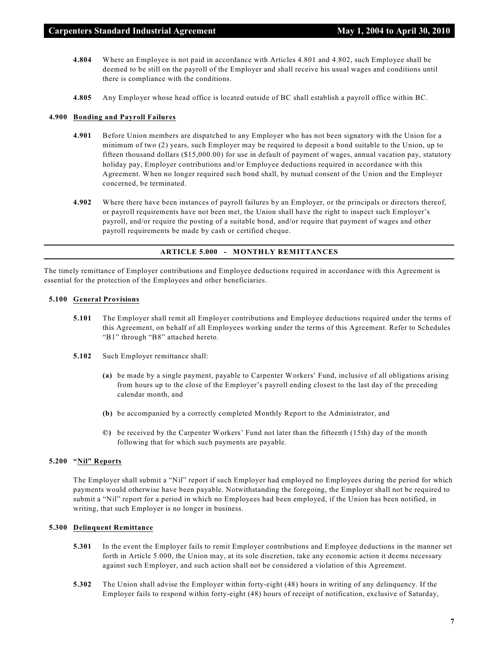- **4.804** Where an Employee is not paid in accordance with Articles 4.801 and 4.802, such Employee shall be deemed to be still on the payroll of the Employer and shall receive his usual wages and conditions until there is compliance with the conditions.
- **4.805** Any Employer whose head office is located outside of BC shall establish a payroll office within BC.

#### **4.900 Bonding and Payroll Failures**

- **4.901** Before Union members are dispatched to any Employer who has not been signatory with the Union for a minimum of two (2) years, such Employer may be required to deposit a bond suitable to the Union, up to fifteen thousand dollars (\$15,000.00) for use in default of payment of wages, annual vacation pay, statutory holiday pay, Employer contributions and/or Employee deductions required in accordance with this Agreement. When no longer required such bond shall, by mutual consent of the Union and the Employer concerned, be terminated.
- **4.902** Where there have been instances of payroll failures by an Employer, or the principals or directors thereof, or payroll requirements have not been met, the Union shall have the right to inspect such Employer's payroll, and/or require the posting of a suitable bond, and/or require that payment of wages and other payroll requirements be made by cash or certified cheque.

#### **ARTICLE 5.000 - MONTHLY REMITTANCES**

The timely remittance of Employer contributions and Employee deductions required in accordance with this Agreement is essential for the protection of the Employees and other beneficiaries.

# **5.100 General Provisions**

- **5.101** The Employer shall remit all Employer contributions and Employee deductions required under the terms of this Agreement, on behalf of all Employees working under the terms of this Agreement. Refer to Schedules "B1" through "B8" attached hereto.
- **5.102** Such Employer remittance shall:
	- **(a)** be made by a single payment, payable to Carpenter Workers' Fund, inclusive of all obligations arising from hours up to the close of the Employer's payroll ending closest to the last day of the preceding calendar month, and
	- **(b)** be accompanied by a correctly completed Monthly Report to the Administrator, and
	- **©)** be received by the Carpenter Workers' Fund not later than the fifteenth (15th) day of the month following that for which such payments are payable.

#### **5.200 "Nil" Reports**

The Employer shall submit a "Nil" report if such Employer had employed no Employees during the period for which payments would otherwise have been payable. Notwithstanding the foregoing, the Employer shall not be required to submit a "Nil" report for a period in which no Employees had been employed, if the Union has been notified, in writing, that such Employer is no longer in business.

#### **5.300 Delinquent Remittance**

- **5.301** In the event the Employer fails to remit Employer contributions and Employee deductions in the manner set forth in Article 5.000, the Union may, at its sole discretion, take any economic action it deems necessary against such Employer, and such action shall not be considered a violation of this Agreement.
- **5.302** The Union shall advise the Employer within forty-eight (48) hours in writing of any delinquency. If the Employer fails to respond within forty-eight (48) hours of receipt of notification, exclusive of Saturday,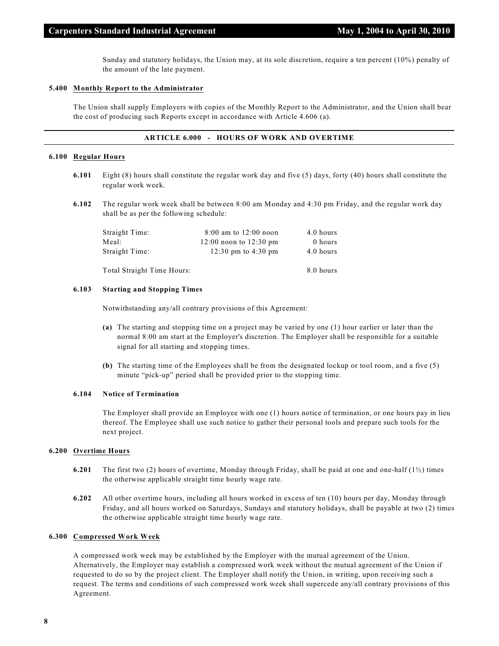Sunday and statutory holidays, the Union may, at its sole discretion, require a ten percent (10%) penalty of the amount of the late payment.

#### **5.400 Monthly Report to the Administrator**

The Union shall supply Employers with copies of the Monthly Report to the Administrator, and the Union shall bear the cost of producing such Reports except in accordance with Article 4.606 (a).

#### **ARTICLE 6.000 - HOURS OF WORK AND OVERTIME**

#### **6.100 Regular Hours**

- **6.101** Eight (8) hours shall constitute the regular work day and five (5) days, forty (40) hours shall constitute the regular work week.
- **6.102** The regular work week shall be between 8:00 am Monday and 4:30 pm Friday, and the regular work day shall be as per the following schedule:

| Straight Time:             | $8:00$ am to $12:00$ noon  | 4.0 hours |
|----------------------------|----------------------------|-----------|
| Meal:                      | $12:00$ noon to $12:30$ pm | 0 hours   |
| Straight Time:             | 12:30 pm to 4:30 pm        | 4.0 hours |
| Total Straight Time Hours: |                            | 8.0 hours |

#### **6.103 Starting and Stopping Times**

Notwithstanding any/all contrary provisions of this Agreement:

- **(a)** The starting and stopping time on a project may be varied by one (1) hour earlier or later than the normal 8:00 am start at the Employer's discretion. The Employer shall be responsible for a suitable signal for all starting and stopping times.
- **(b)** The starting time of the Employees shall be from the designated lockup or tool room, and a five (5) minute "pick-up" period shall be provided prior to the stopping time.

#### **6.104 Notice of Termination**

The Employer shall provide an Employee with one (1) hours notice of termination, or one hours pay in lieu thereof. The Employee shall use such notice to gather their personal tools and prepare such tools for the next project.

#### **6.200 Overtime Hours**

- **6.201** The first two (2) hours of overtime, Monday through Friday, shall be paid at one and one-half (1½) times the otherwise applicable straight time hourly wage rate.
- **6.202** All other overtime hours, including all hours worked in excess of ten (10) hours per day, Monday through Friday, and all hours worked on Saturdays, Sundays and statutory holidays, shall be payable at two (2) times the otherwise applicable straight time hourly wage rate.

#### **6.300 Compressed Work Week**

A compressed work week may be established by the Employer with the mutual agreement of the Union. Alternatively, the Employer may establish a compressed work week without the mutual agreement of the Union if requested to do so by the project client. The Employer shall notify the Union, in writing, upon receiving such a request. The terms and conditions of such compressed work week shall supercede any/all contrary provisions of this Agreement.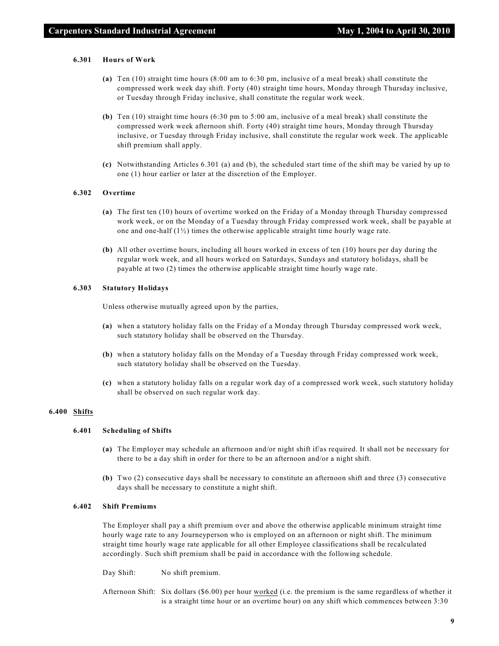#### **6.301 Hours of Work**

- **(a)** Ten (10) straight time hours (8:00 am to 6:30 pm, inclusive of a meal break) shall constitute the compressed work week day shift. Forty (40) straight time hours, Monday through Thursday inclusive, or Tuesday through Friday inclusive, shall constitute the regular work week.
- **(b)** Ten (10) straight time hours (6:30 pm to 5:00 am, inclusive of a meal break) shall constitute the compressed work week afternoon shift. Forty (40) straight time hours, Monday through Thursday inclusive, or Tuesday through Friday inclusive, shall constitute the regular work week. The applicable shift premium shall apply.
- **(c)** Notwithstanding Articles 6.301 (a) and (b), the scheduled start time of the shift may be varied by up to one (1) hour earlier or later at the discretion of the Employer.

#### **6.302 Overtime**

- **(a)** The first ten (10) hours of overtime worked on the Friday of a Monday through Thursday compressed work week, or on the Monday of a Tuesday through Friday compressed work week, shall be payable at one and one-half  $(1/2)$  times the otherwise applicable straight time hourly wage rate.
- **(b)** All other overtime hours, including all hours worked in excess of ten (10) hours per day during the regular work week, and all hours worked on Saturdays, Sundays and statutory holidays, shall be payable at two (2) times the otherwise applicable straight time hourly wage rate.

#### **6.303 Statutory Holidays**

Unless otherwise mutually agreed upon by the parties,

- **(a)** when a statutory holiday falls on the Friday of a Monday through Thursday compressed work week, such statutory holiday shall be observed on the Thursday.
- **(b)** when a statutory holiday falls on the Monday of a Tuesday through Friday compressed work week, such statutory holiday shall be observed on the Tuesday.
- **(c)** when a statutory holiday falls on a regular work day of a compressed work week, such statutory holiday shall be observed on such regular work day.

### **6.400 Shifts**

# **6.401 Scheduling of Shifts**

- **(a)** The Employer may schedule an afternoon and/or night shift if/as required. It shall not be necessary for there to be a day shift in order for there to be an afternoon and/or a night shift.
- **(b)** Two (2) consecutive days shall be necessary to constitute an afternoon shift and three (3) consecutive days shall be necessary to constitute a night shift.

#### **6.402 Shift Premiums**

The Employer shall pay a shift premium over and above the otherwise applicable minimum straight time hourly wage rate to any Journeyperson who is employed on an afternoon or night shift. The minimum straight time hourly wage rate applicable for all other Employee classifications shall be recalculated accordingly. Such shift premium shall be paid in accordance with the following schedule.

Day Shift: No shift premium.

Afternoon Shift: Six dollars (\$6.00) per hour worked (i.e. the premium is the same regardless of whether it is a straight time hour or an overtime hour) on any shift which commences between 3:30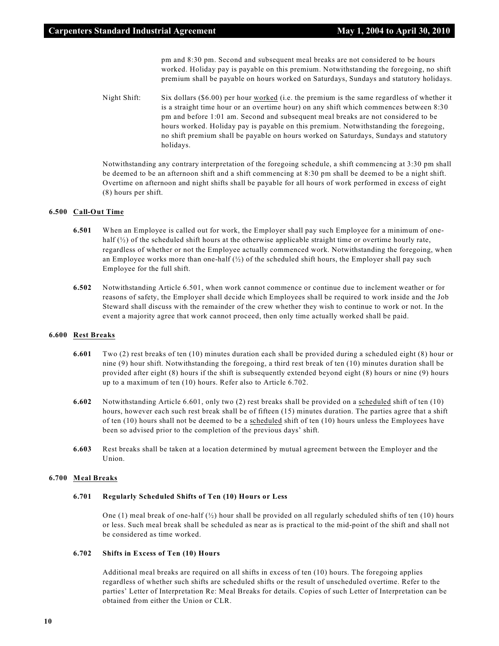pm and 8:30 pm. Second and subsequent meal breaks are not considered to be hours worked. Holiday pay is payable on this premium. Notwithstanding the foregoing, no shift premium shall be payable on hours worked on Saturdays, Sundays and statutory holidays.

Night Shift: Six dollars (\$6.00) per hour worked (i.e. the premium is the same regardless of whether it is a straight time hour or an overtime hour) on any shift which commences between 8:30 pm and before 1:01 am. Second and subsequent meal breaks are not considered to be hours worked. Holiday pay is payable on this premium. Notwithstanding the foregoing, no shift premium shall be payable on hours worked on Saturdays, Sundays and statutory holidays.

Notwithstanding any contrary interpretation of the foregoing schedule, a shift commencing at 3:30 pm shall be deemed to be an afternoon shift and a shift commencing at 8:30 pm shall be deemed to be a night shift. Overtime on afternoon and night shifts shall be payable for all hours of work performed in excess of eight (8) hours per shift.

#### **6.500 Call-Out Time**

- **6.501** When an Employee is called out for work, the Employer shall pay such Employee for a minimum of onehalf  $(\frac{1}{2})$  of the scheduled shift hours at the otherwise applicable straight time or overtime hourly rate, regardless of whether or not the Employee actually commenced work. Notwithstanding the foregoing, when an Employee works more than one-half  $\binom{1}{2}$  of the scheduled shift hours, the Employer shall pay such Employee for the full shift.
- **6.502** Notwithstanding Article 6.501, when work cannot commence or continue due to inclement weather or for reasons of safety, the Employer shall decide which Employees shall be required to work inside and the Job Steward shall discuss with the remainder of the crew whether they wish to continue to work or not. In the event a majority agree that work cannot proceed, then only time actually worked shall be paid.

#### **6.600 Rest Breaks**

- **6.601** Two (2) rest breaks of ten (10) minutes duration each shall be provided during a scheduled eight (8) hour or nine (9) hour shift. Notwithstanding the foregoing, a third rest break of ten (10) minutes duration shall be provided after eight (8) hours if the shift is subsequently extended beyond eight (8) hours or nine (9) hours up to a maximum of ten (10) hours. Refer also to Article 6.702.
- **6.602** Notwithstanding Article 6.601, only two (2) rest breaks shall be provided on a scheduled shift of ten (10) hours, however each such rest break shall be of fifteen (15) minutes duration. The parties agree that a shift of ten (10) hours shall not be deemed to be a scheduled shift of ten (10) hours unless the Employees have been so advised prior to the completion of the previous days' shift.
- **6.603** Rest breaks shall be taken at a location determined by mutual agreement between the Employer and the Union.

#### **6.700 Meal Breaks**

#### **6.701 Regularly Scheduled Shifts of Ten (10) Hours or Less**

One (1) meal break of one-half  $\binom{1}{2}$  hour shall be provided on all regularly scheduled shifts of ten (10) hours or less. Such meal break shall be scheduled as near as is practical to the mid-point of the shift and shall not be considered as time worked.

#### **6.702 Shifts in Excess of Ten (10) Hours**

Additional meal breaks are required on all shifts in excess of ten (10) hours. The foregoing applies regardless of whether such shifts are scheduled shifts or the result of unscheduled overtime. Refer to the parties' Letter of Interpretation Re: Meal Breaks for details. Copies of such Letter of Interpretation can be obtained from either the Union or CLR.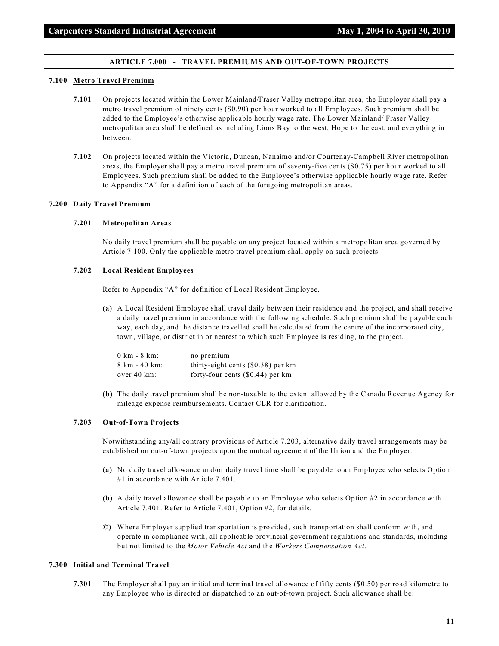#### **ARTICLE 7.000 - TRAVEL PREMIUMS AND OUT-OF-TOWN PROJECTS**

#### **7.100 Metro Travel Premium**

- **7.101** On projects located within the Lower Mainland/Fraser Valley metropolitan area, the Employer shall pay a metro travel premium of ninety cents (\$0.90) per hour worked to all Employees. Such premium shall be added to the Employee's otherwise applicable hourly wage rate. The Lower Mainland/ Fraser Valley metropolitan area shall be defined as including Lions Bay to the west, Hope to the east, and everything in between.
- **7.102** On projects located within the Victoria, Duncan, Nanaimo and/or Courtenay-Campbell River metropolitan areas, the Employer shall pay a metro travel premium of seventy-five cents (\$0.75) per hour worked to all Employees. Such premium shall be added to the Employee's otherwise applicable hourly wage rate. Refer to Appendix "A" for a definition of each of the foregoing metropolitan areas.

#### **7.200 Daily Travel Premium**

#### **7.201 Metropolitan Areas**

No daily travel premium shall be payable on any project located within a metropolitan area governed by Article 7.100. Only the applicable metro travel premium shall apply on such projects.

#### **7.202 Local Resident Employees**

Refer to Appendix "A" for definition of Local Resident Employee.

**(a)** A Local Resident Employee shall travel daily between their residence and the project, and shall receive a daily travel premium in accordance with the following schedule. Such premium shall be payable each way, each day, and the distance travelled shall be calculated from the centre of the incorporated city, town, village, or district in or nearest to which such Employee is residing, to the project.

| $0 \text{ km}$ - 8 km: | no premium                           |
|------------------------|--------------------------------------|
| 8 km - 40 km:          | thirty-eight cents $(\$0.38)$ per km |
| over 40 km:            | forty-four cents $(\$0.44)$ per km   |

**(b)** The daily travel premium shall be non-taxable to the extent allowed by the Canada Revenue Agency for mileage expense reimbursements. Contact CLR for clarification.

## **7.203 Out-of-Town Projects**

Notwithstanding any/all contrary provisions of Article 7.203, alternative daily travel arrangements may be established on out-of-town projects upon the mutual agreement of the Union and the Employer.

- **(a)** No daily travel allowance and/or daily travel time shall be payable to an Employee who selects Option #1 in accordance with Article 7.401.
- **(b)** A daily travel allowance shall be payable to an Employee who selects Option #2 in accordance with Article 7.401. Refer to Article 7.401, Option #2, for details.
- **©)** Where Employer supplied transportation is provided, such transportation shall conform with, and operate in compliance with, all applicable provincial government regulations and standards, including but not limited to the *Motor Vehicle Act* and the *Workers Compensation Act*.

#### **7.300 Initial and Terminal Travel**

**7.301** The Employer shall pay an initial and terminal travel allowance of fifty cents (\$0.50) per road kilometre to any Employee who is directed or dispatched to an out-of-town project. Such allowance shall be: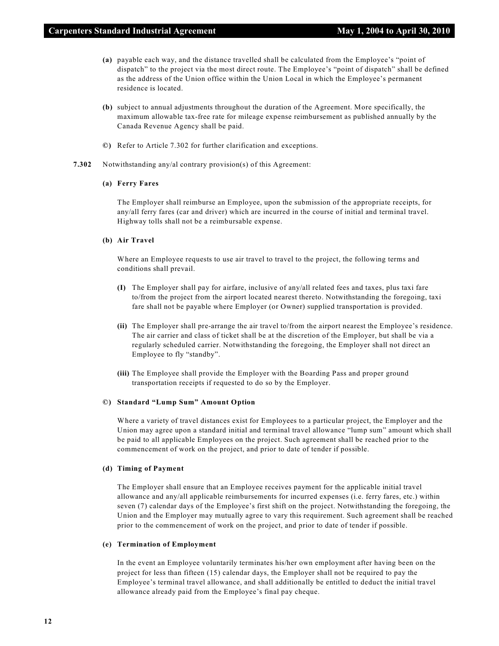- **(a)** payable each way, and the distance travelled shall be calculated from the Employee's "point of dispatch" to the project via the most direct route. The Employee's "point of dispatch" shall be defined as the address of the Union office within the Union Local in which the Employee's permanent residence is located.
- **(b)** subject to annual adjustments throughout the duration of the Agreement. More specifically, the maximum allowable tax-free rate for mileage expense reimbursement as published annually by the Canada Revenue Agency shall be paid.
- **©)** Refer to Article 7.302 for further clarification and exceptions.
- **7.302** Notwithstanding any/al contrary provision(s) of this Agreement:

#### **(a) Ferry Fares**

The Employer shall reimburse an Employee, upon the submission of the appropriate receipts, for any/all ferry fares (car and driver) which are incurred in the course of initial and terminal travel. Highway tolls shall not be a reimbursable expense.

#### **(b) Air Travel**

Where an Employee requests to use air travel to travel to the project, the following terms and conditions shall prevail.

- **(I)** The Employer shall pay for airfare, inclusive of any/all related fees and taxes, plus taxi fare to/from the project from the airport located nearest thereto. Notwithstanding the foregoing, taxi fare shall not be payable where Employer (or Owner) supplied transportation is provided.
- **(ii)** The Employer shall pre-arrange the air travel to/from the airport nearest the Employee's residence. The air carrier and class of ticket shall be at the discretion of the Employer, but shall be via a regularly scheduled carrier. Notwithstanding the foregoing, the Employer shall not direct an Employee to fly "standby".
- **(iii)** The Employee shall provide the Employer with the Boarding Pass and proper ground transportation receipts if requested to do so by the Employer.

#### **©) Standard "Lump Sum" Amount Option**

Where a variety of travel distances exist for Employees to a particular project, the Employer and the Union may agree upon a standard initial and terminal travel allowance "lump sum" amount which shall be paid to all applicable Employees on the project. Such agreement shall be reached prior to the commencement of work on the project, and prior to date of tender if possible.

#### **(d) Timing of Payment**

The Employer shall ensure that an Employee receives payment for the applicable initial travel allowance and any/all applicable reimbursements for incurred expenses (i.e. ferry fares, etc.) within seven (7) calendar days of the Employee's first shift on the project. Notwithstanding the foregoing, the Union and the Employer may mutually agree to vary this requirement. Such agreement shall be reached prior to the commencement of work on the project, and prior to date of tender if possible.

#### **(e) Termination of Employment**

In the event an Employee voluntarily terminates his/her own employment after having been on the project for less than fifteen (15) calendar days, the Employer shall not be required to pay the Employee's terminal travel allowance, and shall additionally be entitled to deduct the initial travel allowance already paid from the Employee's final pay cheque.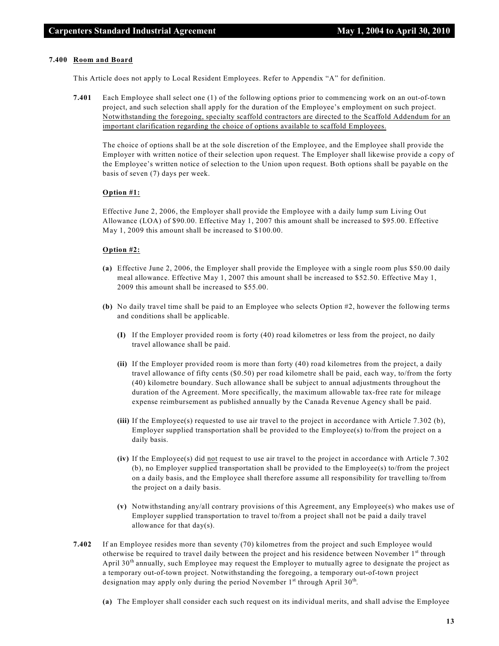#### **7.400 Room and Board**

This Article does not apply to Local Resident Employees. Refer to Appendix "A" for definition.

**7.401** Each Employee shall select one (1) of the following options prior to commencing work on an out-of-town project, and such selection shall apply for the duration of the Employee's employment on such project. Notwithstanding the foregoing, specialty scaffold contractors are directed to the Scaffold Addendum for an important clarification regarding the choice of options available to scaffold Employees.

The choice of options shall be at the sole discretion of the Employee, and the Employee shall provide the Employer with written notice of their selection upon request. The Employer shall likewise provide a copy of the Employee's written notice of selection to the Union upon request. Both options shall be payable on the basis of seven (7) days per week.

#### **Option #1:**

Effective June 2, 2006, the Employer shall provide the Employee with a daily lump sum Living Out Allowance (LOA) of \$90.00. Effective May 1, 2007 this amount shall be increased to \$95.00. Effective May 1, 2009 this amount shall be increased to \$100.00.

#### **Option #2:**

- **(a)** Effective June 2, 2006, the Employer shall provide the Employee with a single room plus \$50.00 daily meal allowance. Effective May 1, 2007 this amount shall be increased to \$52.50. Effective May 1, 2009 this amount shall be increased to \$55.00.
- **(b)** No daily travel time shall be paid to an Employee who selects Option #2, however the following terms and conditions shall be applicable.
	- **(I)** If the Employer provided room is forty (40) road kilometres or less from the project, no daily travel allowance shall be paid.
	- **(ii)** If the Employer provided room is more than forty (40) road kilometres from the project, a daily travel allowance of fifty cents (\$0.50) per road kilometre shall be paid, each way, to/from the forty (40) kilometre boundary. Such allowance shall be subject to annual adjustments throughout the duration of the Agreement. More specifically, the maximum allowable tax-free rate for mileage expense reimbursement as published annually by the Canada Revenue Agency shall be paid.
	- **(iii)** If the Employee(s) requested to use air travel to the project in accordance with Article 7.302 (b), Employer supplied transportation shall be provided to the Employee(s) to/from the project on a daily basis.
	- **(iv)** If the Employee(s) did not request to use air travel to the project in accordance with Article 7.302 (b), no Employer supplied transportation shall be provided to the Employee(s) to/from the project on a daily basis, and the Employee shall therefore assume all responsibility for travelling to/from the project on a daily basis.
	- **(v)** Notwithstanding any/all contrary provisions of this Agreement, any Employee(s) who makes use of Employer supplied transportation to travel to/from a project shall not be paid a daily travel allowance for that day(s).
- **7.402** If an Employee resides more than seventy (70) kilometres from the project and such Employee would otherwise be required to travel daily between the project and his residence between November 1<sup>st</sup> through April  $30<sup>th</sup>$  annually, such Employee may request the Employer to mutually agree to designate the project as a temporary out-of-town project. Notwithstanding the foregoing, a temporary out-of-town project designation may apply only during the period November  $1^{st}$  through April 30<sup>th</sup>.
	- **(a)** The Employer shall consider each such request on its individual merits, and shall advise the Employee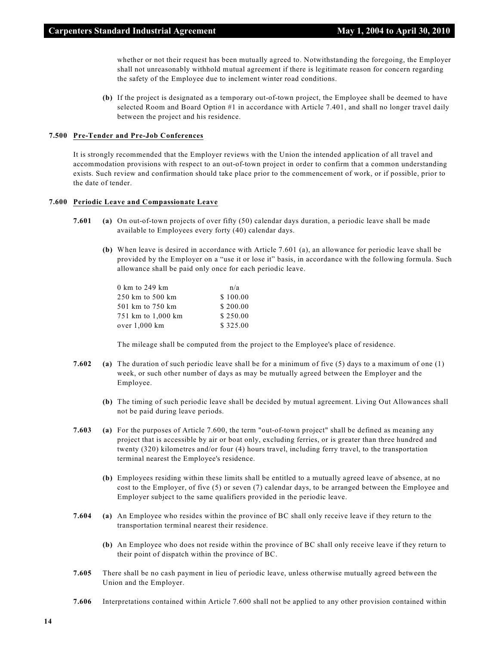whether or not their request has been mutually agreed to. Notwithstanding the foregoing, the Employer shall not unreasonably withhold mutual agreement if there is legitimate reason for concern regarding the safety of the Employee due to inclement winter road conditions.

**(b)** If the project is designated as a temporary out-of-town project, the Employee shall be deemed to have selected Room and Board Option #1 in accordance with Article 7.401, and shall no longer travel daily between the project and his residence.

#### **7.500 Pre-Tender and Pre-Job Conferences**

It is strongly recommended that the Employer reviews with the Union the intended application of all travel and accommodation provisions with respect to an out-of-town project in order to confirm that a common understanding exists. Such review and confirmation should take place prior to the commencement of work, or if possible, prior to the date of tender.

#### **7.600 Periodic Leave and Compassionate Leave**

- **7.601 (a)** On out-of-town projects of over fifty (50) calendar days duration, a periodic leave shall be made available to Employees every forty (40) calendar days.
	- **(b)** When leave is desired in accordance with Article 7.601 (a), an allowance for periodic leave shall be provided by the Employer on a "use it or lose it" basis, in accordance with the following formula. Such allowance shall be paid only once for each periodic leave.

| 0 km to 249 km     | n/a      |
|--------------------|----------|
| 250 km to 500 km   | \$100.00 |
| 501 km to 750 km   | \$200.00 |
| 751 km to 1,000 km | \$250.00 |
| over 1,000 km      | \$325.00 |

The mileage shall be computed from the project to the Employee's place of residence.

- **7.602 (a)** The duration of such periodic leave shall be for a minimum of five (5) days to a maximum of one (1) week, or such other number of days as may be mutually agreed between the Employer and the Employee.
	- **(b)** The timing of such periodic leave shall be decided by mutual agreement. Living Out Allowances shall not be paid during leave periods.
- **7.603 (a)** For the purposes of Article 7.600, the term "out-of-town project" shall be defined as meaning any project that is accessible by air or boat only, excluding ferries, or is greater than three hundred and twenty (320) kilometres and/or four (4) hours travel, including ferry travel, to the transportation terminal nearest the Employee's residence.
	- **(b)** Employees residing within these limits shall be entitled to a mutually agreed leave of absence, at no cost to the Employer, of five (5) or seven (7) calendar days, to be arranged between the Employee and Employer subject to the same qualifiers provided in the periodic leave.
- **7.604 (a)** An Employee who resides within the province of BC shall only receive leave if they return to the transportation terminal nearest their residence.
	- **(b)** An Employee who does not reside within the province of BC shall only receive leave if they return to their point of dispatch within the province of BC.
- **7.605** There shall be no cash payment in lieu of periodic leave, unless otherwise mutually agreed between the Union and the Employer.
- **7.606** Interpretations contained within Article 7.600 shall not be applied to any other provision contained within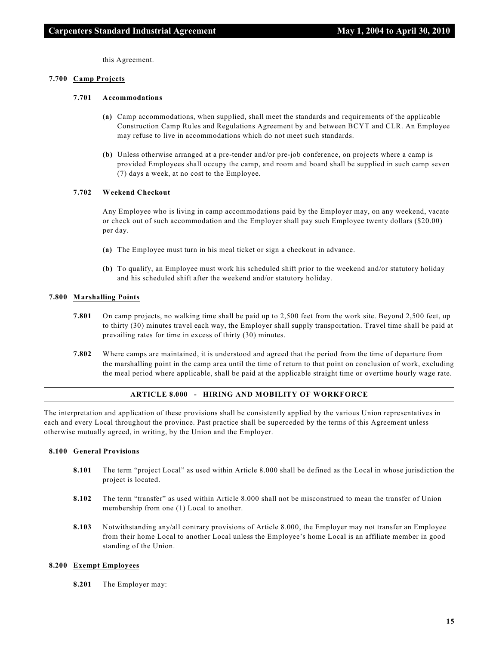this Agreement.

#### **7.700 Camp Projects**

#### **7.701 Accommodations**

- **(a)** Camp accommodations, when supplied, shall meet the standards and requirements of the applicable Construction Camp Rules and Regulations Agreement by and between BCYT and CLR. An Employee may refuse to live in accommodations which do not meet such standards.
- **(b)** Unless otherwise arranged at a pre-tender and/or pre-job conference, on projects where a camp is provided Employees shall occupy the camp, and room and board shall be supplied in such camp seven (7) days a week, at no cost to the Employee.

#### **7.702 Weekend Checkout**

Any Employee who is living in camp accommodations paid by the Employer may, on any weekend, vacate or check out of such accommodation and the Employer shall pay such Employee twenty dollars (\$20.00) per day.

- **(a)** The Employee must turn in his meal ticket or sign a checkout in advance.
- **(b)** To qualify, an Employee must work his scheduled shift prior to the weekend and/or statutory holiday and his scheduled shift after the weekend and/or statutory holiday.

#### **7.800 Marshalling Points**

- **7.801** On camp projects, no walking time shall be paid up to 2,500 feet from the work site. Beyond 2,500 feet, up to thirty (30) minutes travel each way, the Employer shall supply transportation. Travel time shall be paid at prevailing rates for time in excess of thirty (30) minutes.
- **7.802** Where camps are maintained, it is understood and agreed that the period from the time of departure from the marshalling point in the camp area until the time of return to that point on conclusion of work, excluding the meal period where applicable, shall be paid at the applicable straight time or overtime hourly wage rate.

#### **ARTICLE 8.000 - HIRING AND MOBILITY OF WORKFORCE**

The interpretation and application of these provisions shall be consistently applied by the various Union representatives in each and every Local throughout the province. Past practice shall be superceded by the terms of this Agreement unless otherwise mutually agreed, in writing, by the Union and the Employer.

#### **8.100 General Provisions**

- **8.101** The term "project Local" as used within Article 8.000 shall be defined as the Local in whose jurisdiction the project is located.
- **8.102** The term "transfer" as used within Article 8.000 shall not be misconstrued to mean the transfer of Union membership from one (1) Local to another.
- **8.103** Notwithstanding any/all contrary provisions of Article 8.000, the Employer may not transfer an Employee from their home Local to another Local unless the Employee's home Local is an affiliate member in good standing of the Union.

#### **8.200 Exempt Employees**

**8.201** The Employer may: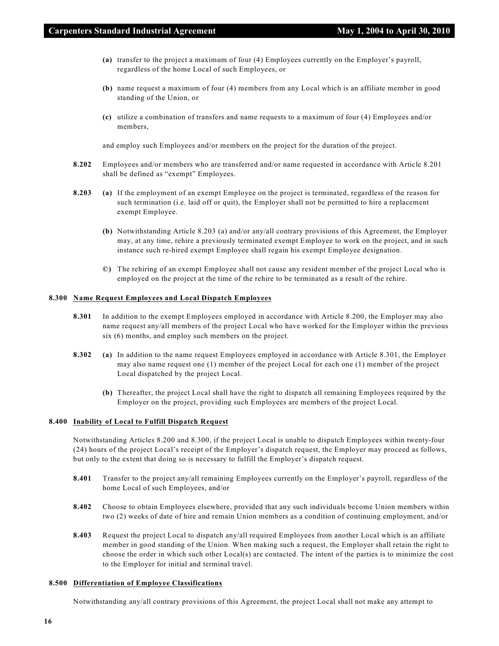- **(a)** transfer to the project a maximum of four (4) Employees currently on the Employer's payroll, regardless of the home Local of such Employees, or
- **(b)** name request a maximum of four (4) members from any Local which is an affiliate member in good standing of the Union, or
- **(c)** utilize a combination of transfers and name requests to a maximum of four (4) Employees and/or members,

and employ such Employees and/or members on the project for the duration of the project.

- **8.202** Employees and/or members who are transferred and/or name requested in accordance with Article 8.201 shall be defined as "exempt" Employees.
- **8.203 (a)** If the employment of an exempt Employee on the project is terminated, regardless of the reason for such termination (i.e. laid off or quit), the Employer shall not be permitted to hire a replacement exempt Employee.
	- **(b)** Notwithstanding Article 8.203 (a) and/or any/all contrary provisions of this Agreement, the Employer may, at any time, rehire a previously terminated exempt Employee to work on the project, and in such instance such re-hired exempt Employee shall regain his exempt Employee designation.
	- **©)** The rehiring of an exempt Employee shall not cause any resident member of the project Local who is employed on the project at the time of the rehire to be terminated as a result of the rehire.

#### **8.300 Name Request Employees and Local Dispatch Employees**

- **8.301** In addition to the exempt Employees employed in accordance with Article 8.200, the Employer may also name request any/all members of the project Local who have worked for the Employer within the previous six (6) months, and employ such members on the project.
- **8.302 (a)** In addition to the name request Employees employed in accordance with Article 8.301, the Employer may also name request one (1) member of the project Local for each one (1) member of the project Local dispatched by the project Local.
	- **(b)** Thereafter, the project Local shall have the right to dispatch all remaining Employees required by the Employer on the project, providing such Employees are members of the project Local.

#### **8.400 Inability of Local to Fulfill Dispatch Request**

Notwithstanding Articles 8.200 and 8.300, if the project Local is unable to dispatch Employees within twenty-four (24) hours of the project Local's receipt of the Employer's dispatch request, the Employer may proceed as follows, but only to the extent that doing so is necessary to fulfill the Employer's dispatch request.

- **8.401** Transfer to the project any/all remaining Employees currently on the Employer's payroll, regardless of the home Local of such Employees, and/or
- **8.402** Choose to obtain Employees elsewhere, provided that any such individuals become Union members within two (2) weeks of date of hire and remain Union members as a condition of continuing employment, and/or
- **8.403** Request the project Local to dispatch any/all required Employees from another Local which is an affiliate member in good standing of the Union. When making such a request, the Employer shall retain the right to choose the order in which such other Local(s) are contacted. The intent of the parties is to minimize the cost to the Employer for initial and terminal travel.

#### **8.500 Differentiation of Employee Classifications**

Notwithstanding any/all contrary provisions of this Agreement, the project Local shall not make any attempt to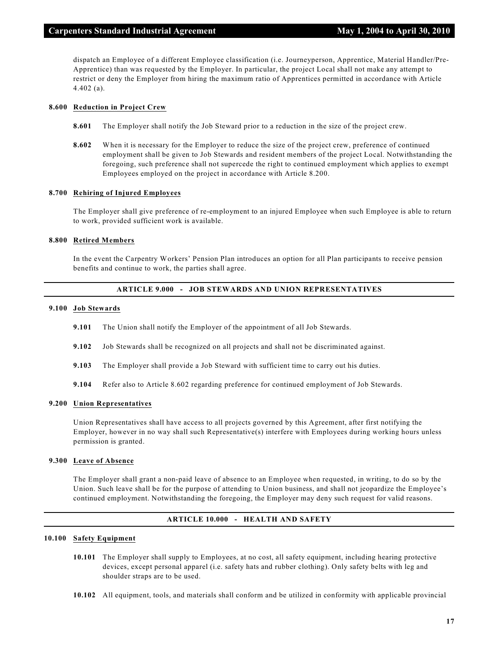dispatch an Employee of a different Employee classification (i.e. Journeyperson, Apprentice, Material Handler/Pre-Apprentice) than was requested by the Employer. In particular, the project Local shall not make any attempt to restrict or deny the Employer from hiring the maximum ratio of Apprentices permitted in accordance with Article 4.402 (a).

#### **8.600 Reduction in Project Crew**

- **8.601** The Employer shall notify the Job Steward prior to a reduction in the size of the project crew.
- **8.602** When it is necessary for the Employer to reduce the size of the project crew, preference of continued employment shall be given to Job Stewards and resident members of the project Local. Notwithstanding the foregoing, such preference shall not supercede the right to continued employment which applies to exempt Employees employed on the project in accordance with Article 8.200.

#### **8.700 Rehiring of Injured Employees**

The Employer shall give preference of re-employment to an injured Employee when such Employee is able to return to work, provided sufficient work is available.

#### **8.800 Retired Members**

In the event the Carpentry Workers' Pension Plan introduces an option for all Plan participants to receive pension benefits and continue to work, the parties shall agree.

# **ARTICLE 9.000 - JOB STEWARDS AND UNION REPRESENTATIVES**

#### **9.100 Job Stewards**

- **9.101** The Union shall notify the Employer of the appointment of all Job Stewards.
- **9.102** Job Stewards shall be recognized on all projects and shall not be discriminated against.
- **9.103** The Employer shall provide a Job Steward with sufficient time to carry out his duties.
- **9.104** Refer also to Article 8.602 regarding preference for continued employment of Job Stewards.

#### **9.200 Union Representatives**

Union Representatives shall have access to all projects governed by this Agreement, after first notifying the Employer, however in no way shall such Representative(s) interfere with Employees during working hours unless permission is granted.

#### **9.300 Leave of Absence**

The Employer shall grant a non-paid leave of absence to an Employee when requested, in writing, to do so by the Union. Such leave shall be for the purpose of attending to Union business, and shall not jeopardize the Employee's continued employment. Notwithstanding the foregoing, the Employer may deny such request for valid reasons.

# **ARTICLE 10.000 - HEALTH AND SAFETY**

#### **10.100 Safety Equipment**

- **10.101** The Employer shall supply to Employees, at no cost, all safety equipment, including hearing protective devices, except personal apparel (i.e. safety hats and rubber clothing). Only safety belts with leg and shoulder straps are to be used.
- **10.102** All equipment, tools, and materials shall conform and be utilized in conformity with applicable provincial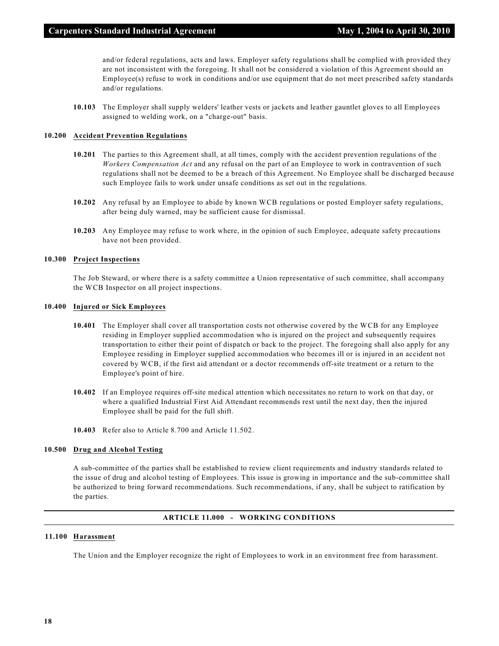and/or federal regulations, acts and laws. Employer safety regulations shall be complied with provided they are not inconsistent with the foregoing. It shall not be considered a violation of this Agreement should an Employee(s) refuse to work in conditions and/or use equipment that do not meet prescribed safety standards and/or regulations.

**10.103** The Employer shall supply welders' leather vests or jackets and leather gauntlet gloves to all Employees assigned to welding work, on a "charge-out" basis.

#### **10.200 Accident Prevention Regulations**

- **10.201** The parties to this Agreement shall, at all times, comply with the accident prevention regulations of the *Workers Compensation Act* and any refusal on the part of an Employee to work in contravention of such regulations shall not be deemed to be a breach of this Agreement. No Employee shall be discharged because such Employee fails to work under unsafe conditions as set out in the regulations.
- **10.202** Any refusal by an Employee to abide by known WCB regulations or posted Employer safety regulations, after being duly warned, may be sufficient cause for dismissal.
- **10.203** Any Employee may refuse to work where, in the opinion of such Employee, adequate safety precautions have not been provided.

# **10.300 Project Inspections**

The Job Steward, or where there is a safety committee a Union representative of such committee, shall accompany the WCB Inspector on all project inspections.

#### **10.400 Injured or Sick Employees**

- **10.401** The Employer shall cover all transportation costs not otherwise covered by the WCB for any Employee residing in Employer supplied accommodation who is injured on the project and subsequently requires transportation to either their point of dispatch or back to the project. The foregoing shall also apply for any Employee residing in Employer supplied accommodation who becomes ill or is injured in an accident not covered by WCB, if the first aid attendant or a doctor recommends off-site treatment or a return to the Employee's point of hire.
- **10.402** If an Employee requires off-site medical attention which necessitates no return to work on that day, or where a qualified Industrial First Aid Attendant recommends rest until the next day, then the injured Employee shall be paid for the full shift.
- **10.403** Refer also to Article 8.700 and Article 11.502.

#### **10.500 Drug and Alcohol Testing**

A sub-committee of the parties shall be established to review client requirements and industry standards related to the issue of drug and alcohol testing of Employees. This issue is growing in importance and the sub-committee shall be authorized to bring forward recommendations. Such recommendations, if any, shall be subject to ratification by the parties.

#### **ARTICLE 11.000 - WORKING CONDITIONS**

#### **11.100 Harassment**

The Union and the Employer recognize the right of Employees to work in an environment free from harassment.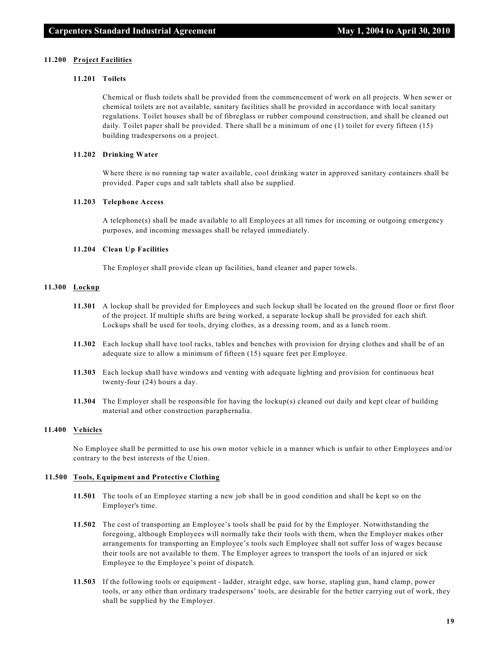#### **11.200 Project Facilities**

#### **11.201 Toilets**

Chemical or flush toilets shall be provided from the commencement of work on all projects. When sewer or chemical toilets are not available, sanitary facilities shall be provided in accordance with local sanitary regulations. Toilet houses shall be of fibreglass or rubber compound construction, and shall be cleaned out daily. Toilet paper shall be provided. There shall be a minimum of one (1) toilet for every fifteen (15) building tradespersons on a project.

#### **11.202 Drinking Water**

Where there is no running tap water available, cool drinking water in approved sanitary containers shall be provided. Paper cups and salt tablets shall also be supplied.

#### **11.203 Telephone Access**

A telephone(s) shall be made available to all Employees at all times for incoming or outgoing emergency purposes, and incoming messages shall be relayed immediately.

#### **11.204 Clean Up Facilities**

The Employer shall provide clean up facilities, hand cleaner and paper towels.

# **11.300 Lockup**

- **11.301** A lockup shall be provided for Employees and such lockup shall be located on the ground floor or first floor of the project. If multiple shifts are being worked, a separate lockup shall be provided for each shift. Lockups shall be used for tools, drying clothes, as a dressing room, and as a lunch room.
- **11.302** Each lockup shall have tool racks, tables and benches with provision for drying clothes and shall be of an adequate size to allow a minimum of fifteen (15) square feet per Employee.
- **11.303** Each lockup shall have windows and venting with adequate lighting and provision for continuous heat twenty-four (24) hours a day.
- **11.304** The Employer shall be responsible for having the lockup(s) cleaned out daily and kept clear of building material and other construction paraphernalia.

#### **11.400 Vehicles**

No Employee shall be permitted to use his own motor vehicle in a manner which is unfair to other Employees and/or contrary to the best interests of the Union.

#### **11.500 Tools, Equipment and Protective Clothing**

- **11.501** The tools of an Employee starting a new job shall be in good condition and shall be kept so on the Employer's time.
- **11.502** The cost of transporting an Employee's tools shall be paid for by the Employer. Notwithstanding the foregoing, although Employees will normally take their tools with them, when the Employer makes other arrangements for transporting an Employee's tools such Employee shall not suffer loss of wages because their tools are not available to them. The Employer agrees to transport the tools of an injured or sick Employee to the Employee's point of dispatch.
- **11.503** If the following tools or equipment ladder, straight edge, saw horse, stapling gun, hand clamp, power tools, or any other than ordinary tradespersons' tools, are desirable for the better carrying out of work, they shall be supplied by the Employer.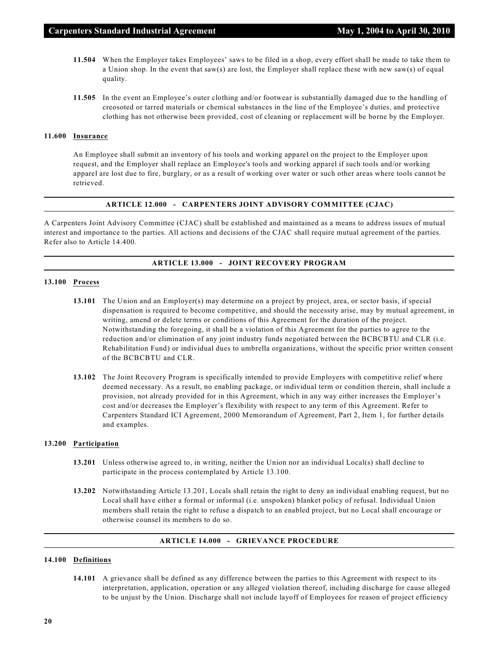- **11.504** When the Employer takes Employees' saws to be filed in a shop, every effort shall be made to take them to a Union shop. In the event that saw(s) are lost, the Employer shall replace these with new saw(s) of equal quality.
- **11.505** In the event an Employee's outer clothing and/or footwear is substantially damaged due to the handling of creosoted or tarred materials or chemical substances in the line of the Employee's duties, and protective clothing has not otherwise been provided, cost of cleaning or replacement will be borne by the Employer.

#### **11.600 Insurance**

An Employee shall submit an inventory of his tools and working apparel on the project to the Employer upon request, and the Employer shall replace an Employee's tools and working apparel if such tools and/or working apparel are lost due to fire, burglary, or as a result of working over water or such other areas where tools cannot be retrieved.

#### **ARTICLE 12.000 - CARPENTERS JOINT ADVISORY COMMITTEE (CJAC)**

A Carpenters Joint Advisory Committee (CJAC) shall be established and maintained as a means to address issues of mutual interest and importance to the parties. All actions and decisions of the CJAC shall require mutual agreement of the parties. Refer also to Article 14.400.

#### **ARTICLE 13.000 - JOINT RECOVERY PROGRAM**

#### **13.100 Process**

- **13.101** The Union and an Employer(s) may determine on a project by project, area, or sector basis, if special dispensation is required to become competitive, and should the necessity arise, may by mutual agreement, in writing, amend or delete terms or conditions of this Agreement for the duration of the project. Notwithstanding the foregoing, it shall be a violation of this Agreement for the parties to agree to the reduction and/or elimination of any joint industry funds negotiated between the BCBCBTU and CLR (i.e. Rehabilitation Fund) or individual dues to umbrella organizations, without the specific prior written consent of the BCBCBTU and CLR.
- **13.102** The Joint Recovery Program is specifically intended to provide Employers with competitive relief where deemed necessary. As a result, no enabling package, or individual term or condition therein, shall include a provision, not already provided for in this Agreement, which in any way either increases the Employer's cost and/or decreases the Employer's flexibility with respect to any term of this Agreement. Refer to Carpenters Standard ICI Agreement, 2000 Memorandum of Agreement, Part 2, Item 1, for further details and examples.

#### **13.200 Participation**

- **13.201** Unless otherwise agreed to, in writing, neither the Union nor an individual Local(s) shall decline to participate in the process contemplated by Article 13.100.
- **13.202** Notwithstanding Article 13.201, Locals shall retain the right to deny an individual enabling request, but no Local shall have either a formal or informal (i.e. unspoken) blanket policy of refusal. Individual Union members shall retain the right to refuse a dispatch to an enabled project, but no Local shall encourage or otherwise counsel its members to do so.

#### **ARTICLE 14.000 - GRIEVANCE PROCEDURE**

#### **14.100 Definitions**

**14.101** A grievance shall be defined as any difference between the parties to this Agreement with respect to its interpretation, application, operation or any alleged violation thereof, including discharge for cause alleged to be unjust by the Union. Discharge shall not include layoff of Employees for reason of project efficiency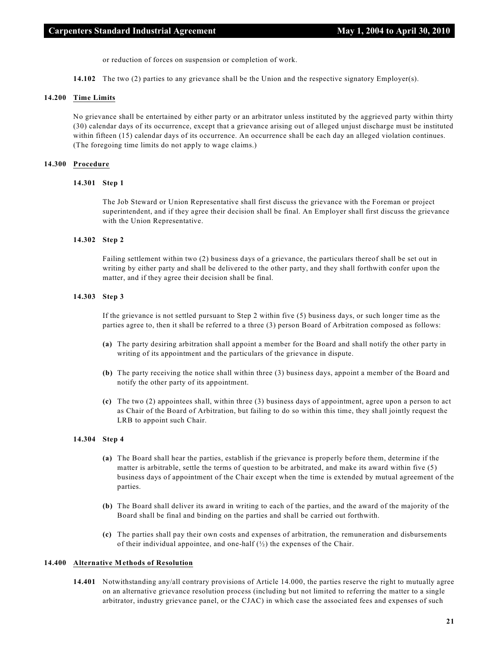or reduction of forces on suspension or completion of work.

**14.102** The two (2) parties to any grievance shall be the Union and the respective signatory Employer(s).

## **14.200 Time Limits**

No grievance shall be entertained by either party or an arbitrator unless instituted by the aggrieved party within thirty (30) calendar days of its occurrence, except that a grievance arising out of alleged unjust discharge must be instituted within fifteen (15) calendar days of its occurrence. An occurrence shall be each day an alleged violation continues. (The foregoing time limits do not apply to wage claims.)

#### **14.300 Procedure**

#### **14.301 Step 1**

The Job Steward or Union Representative shall first discuss the grievance with the Foreman or project superintendent, and if they agree their decision shall be final. An Employer shall first discuss the grievance with the Union Representative.

#### **14.302 Step 2**

Failing settlement within two (2) business days of a grievance, the particulars thereof shall be set out in writing by either party and shall be delivered to the other party, and they shall forthwith confer upon the matter, and if they agree their decision shall be final.

#### **14.303 Step 3**

If the grievance is not settled pursuant to Step 2 within five (5) business days, or such longer time as the parties agree to, then it shall be referred to a three (3) person Board of Arbitration composed as follows:

- **(a)** The party desiring arbitration shall appoint a member for the Board and shall notify the other party in writing of its appointment and the particulars of the grievance in dispute.
- **(b)** The party receiving the notice shall within three (3) business days, appoint a member of the Board and notify the other party of its appointment.
- **(c)** The two (2) appointees shall, within three (3) business days of appointment, agree upon a person to act as Chair of the Board of Arbitration, but failing to do so within this time, they shall jointly request the LRB to appoint such Chair.

#### **14.304 Step 4**

- **(a)** The Board shall hear the parties, establish if the grievance is properly before them, determine if the matter is arbitrable, settle the terms of question to be arbitrated, and make its award within five (5) business days of appointment of the Chair except when the time is extended by mutual agreement of the parties.
- **(b)** The Board shall deliver its award in writing to each of the parties, and the award of the majority of the Board shall be final and binding on the parties and shall be carried out forthwith.
- **(c)** The parties shall pay their own costs and expenses of arbitration, the remuneration and disbursements of their individual appointee, and one-half  $(\frac{1}{2})$  the expenses of the Chair.

#### **14.400 Alternative Methods of Resolution**

**14.401** Notwithstanding any/all contrary provisions of Article 14.000, the parties reserve the right to mutually agree on an alternative grievance resolution process (including but not limited to referring the matter to a single arbitrator, industry grievance panel, or the CJAC) in which case the associated fees and expenses of such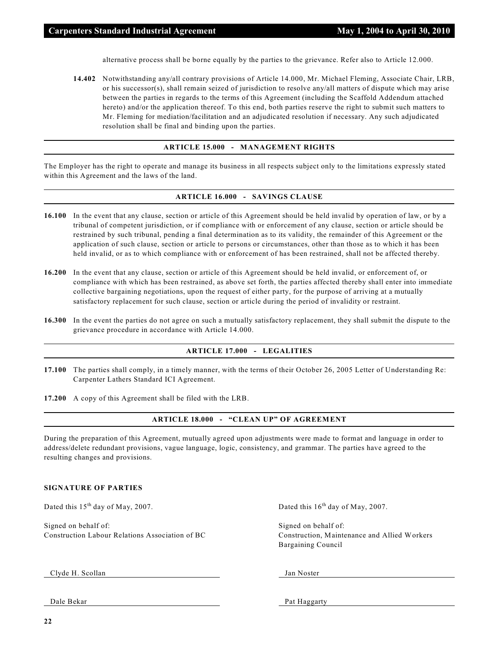alternative process shall be borne equally by the parties to the grievance. Refer also to Article 12.000.

**14.402** Notwithstanding any/all contrary provisions of Article 14.000, Mr. Michael Fleming, Associate Chair, LRB, or his successor(s), shall remain seized of jurisdiction to resolve any/all matters of dispute which may arise between the parties in regards to the terms of this Agreement (including the Scaffold Addendum attached hereto) and/or the application thereof. To this end, both parties reserve the right to submit such matters to Mr. Fleming for mediation/facilitation and an adjudicated resolution if necessary. Any such adjudicated resolution shall be final and binding upon the parties.

# **ARTICLE 15.000 - MANAGEMENT RIGHTS**

The Employer has the right to operate and manage its business in all respects subject only to the limitations expressly stated within this Agreement and the laws of the land.

#### **ARTICLE 16.000 - SAVINGS CLAUSE**

- **16.100** In the event that any clause, section or article of this Agreement should be held invalid by operation of law, or by a tribunal of competent jurisdiction, or if compliance with or enforcement of any clause, section or article should be restrained by such tribunal, pending a final determination as to its validity, the remainder of this Agreement or the application of such clause, section or article to persons or circumstances, other than those as to which it has been held invalid, or as to which compliance with or enforcement of has been restrained, shall not be affected thereby.
- **16.200** In the event that any clause, section or article of this Agreement should be held invalid, or enforcement of, or compliance with which has been restrained, as above set forth, the parties affected thereby shall enter into immediate collective bargaining negotiations, upon the request of either party, for the purpose of arriving at a mutually satisfactory replacement for such clause, section or article during the period of invalidity or restraint.
- **16.300** In the event the parties do not agree on such a mutually satisfactory replacement, they shall submit the dispute to the grievance procedure in accordance with Article 14.000.

### **ARTICLE 17.000 - LEGALITIES**

**17.100** The parties shall comply, in a timely manner, with the terms of their October 26, 2005 Letter of Understanding Re: Carpenter Lathers Standard ICI Agreement.

**17.200** A copy of this Agreement shall be filed with the LRB.

#### **ARTICLE 18.000 - "CLEAN UP" OF AGREEMENT**

During the preparation of this Agreement, mutually agreed upon adjustments were made to format and language in order to address/delete redundant provisions, vague language, logic, consistency, and grammar. The parties have agreed to the resulting changes and provisions.

#### **SIGNATURE OF PARTIES**

Dated this  $15<sup>th</sup>$  day of May, 2007. Dated this  $16<sup>th</sup>$  day of May, 2007.

Signed on behalf of: Signed on behalf of: Signed on behalf of: Construction Labour Relations Association of BC Construction, Maintenance and Allied Workers

Bargaining Council

Clyde H. Scollan Jan Noster

Dale Bekar Pat Haggarty Pat Haggarty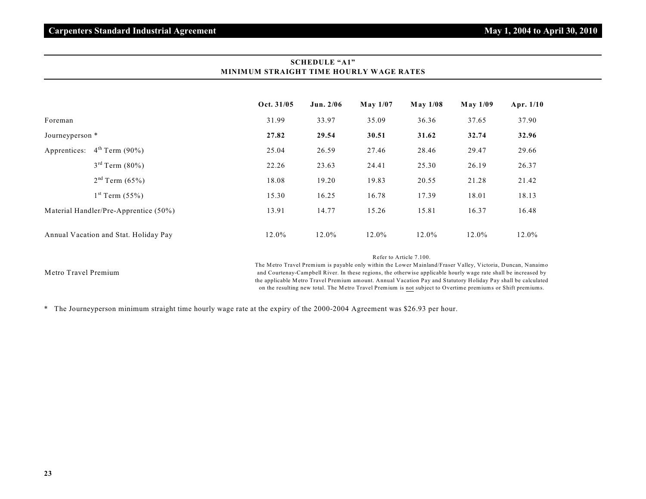|                 |                                       | Oct. 31/05 | Jun. $2/06$ | May 1/07 | $M$ ay 1/08 | $M$ ay 1/09 | Apr. $1/10$ |
|-----------------|---------------------------------------|------------|-------------|----------|-------------|-------------|-------------|
| Foreman         |                                       | 31.99      | 33.97       | 35.09    | 36.36       | 37.65       | 37.90       |
| Journeyperson * |                                       | 27.82      | 29.54       | 30.51    | 31.62       | 32.74       | 32.96       |
|                 | Apprentices: $4th Term (90%)$         | 25.04      | 26.59       | 27.46    | 28.46       | 29.47       | 29.66       |
|                 | $3^{rd}$ Term $(80\%)$                | 22.26      | 23.63       | 24.41    | 25.30       | 26.19       | 26.37       |
|                 | $2nd$ Term (65%)                      | 18.08      | 19.20       | 19.83    | 20.55       | 21.28       | 21.42       |
|                 | $1^{st}$ Term $(55%)$                 | 15.30      | 16.25       | 16.78    | 17.39       | 18.01       | 18.13       |
|                 | Material Handler/Pre-Apprentice (50%) | 13.91      | 14.77       | 15.26    | 15.81       | 16.37       | 16.48       |
|                 | Annual Vacation and Stat. Holiday Pay | 12.0%      | 12.0%       | 12.0%    | 12.0%       | 12.0%       | 12.0%       |

# **SCHEDULE "A1" MINIMUM STRAIGHT TIME HOURLY WAGE RATES**

Refer to Article 7.100.

Metro Travel Premium

The Metro Travel Premium is payable only within the Lower Mainland/Fraser Valley, Victoria, Duncan, Nanaimo and Courtenay-Campbell River. In these regions, the otherwise applicable hourly wage rate shall be increased by the applicable Metro Travel Premium amount. Annual Vacation Pay and Statutory Holiday Pay shall be calculated on the resulting new total. The Metro Travel Premium is not subject to Overtime premiums or Shift premiums.

\* The Journeyperson minimum straight time hourly wage rate at the expiry of the 2000-2004 Agreement was \$26.93 per hour.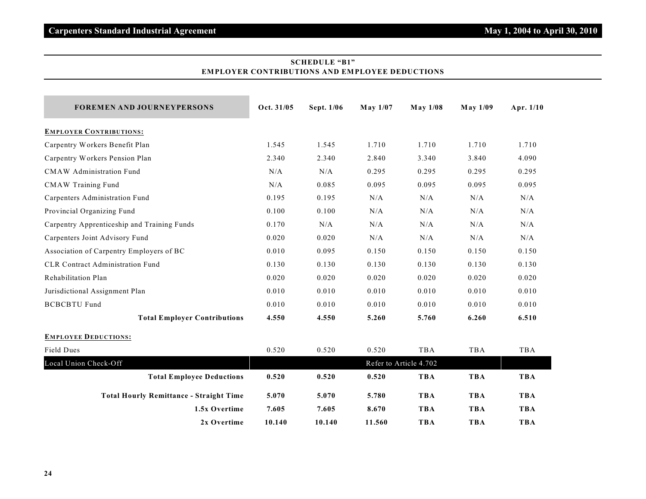# **SCHEDULE "B1" EMPLOYER CONTRIBUTIONS AND EMPLOYEE DEDUCTIONS**

| <b>FOREMEN AND JOURNEYPERSONS</b>              | Oct. 31/05 | Sept. 1/06 | $M$ ay $1/07$ | <b>May 1/08</b>        | $M$ ay $1/09$ | Apr. 1/10  |
|------------------------------------------------|------------|------------|---------------|------------------------|---------------|------------|
| <b>EMPLOYER CONTRIBUTIONS:</b>                 |            |            |               |                        |               |            |
| Carpentry Workers Benefit Plan                 | 1.545      | 1.545      | 1.710         | 1.710                  | 1.710         | 1.710      |
| Carpentry Workers Pension Plan                 | 2.340      | 2.340      | 2.840         | 3.340                  | 3.840         | 4.090      |
| <b>CMAW</b> Administration Fund                | N/A        | N/A        | 0.295         | 0.295                  | 0.295         | 0.295      |
| <b>CMAW Training Fund</b>                      | N/A        | 0.085      | 0.095         | 0.095                  | 0.095         | 0.095      |
| Carpenters Administration Fund                 | 0.195      | 0.195      | N/A           | N/A                    | N/A           | N/A        |
| Provincial Organizing Fund                     | 0.100      | 0.100      | N/A           | N/A                    | N/A           | N/A        |
| Carpentry Apprenticeship and Training Funds    | 0.170      | N/A        | N/A           | N/A                    | N/A           | N/A        |
| Carpenters Joint Advisory Fund                 | 0.020      | 0.020      | N/A           | N/A                    | N/A           | N/A        |
| Association of Carpentry Employers of BC       | 0.010      | 0.095      | 0.150         | 0.150                  | 0.150         | 0.150      |
| <b>CLR Contract Administration Fund</b>        | 0.130      | 0.130      | 0.130         | 0.130                  | 0.130         | 0.130      |
| Rehabilitation Plan                            | 0.020      | 0.020      | 0.020         | 0.020                  | 0.020         | 0.020      |
| Jurisdictional Assignment Plan                 | 0.010      | 0.010      | 0.010         | 0.010                  | 0.010         | 0.010      |
| <b>BCBCBTU Fund</b>                            | 0.010      | 0.010      | 0.010         | 0.010                  | 0.010         | 0.010      |
| <b>Total Employer Contributions</b>            | 4.550      | 4.550      | 5.260         | 5.760                  | 6.260         | 6.510      |
| <b>EMPLOYEE DEDUCTIONS:</b>                    |            |            |               |                        |               |            |
| Field Dues                                     | 0.520      | 0.520      | 0.520         | <b>TBA</b>             | TBA           | TBA        |
| Local Union Check-Off                          |            |            |               | Refer to Article 4.702 |               |            |
| <b>Total Employee Deductions</b>               | 0.520      | 0.520      | 0.520         | <b>TBA</b>             | <b>TBA</b>    | <b>TBA</b> |
| <b>Total Hourly Remittance - Straight Time</b> | 5.070      | 5.070      | 5.780         | <b>TBA</b>             | <b>TBA</b>    | <b>TBA</b> |
| 1.5x Overtime                                  | 7.605      | 7.605      | 8.670         | <b>TBA</b>             | <b>TBA</b>    | <b>TBA</b> |
| 2x Overtime                                    | 10.140     | 10.140     | 11.560        | <b>TBA</b>             | <b>TBA</b>    | <b>TBA</b> |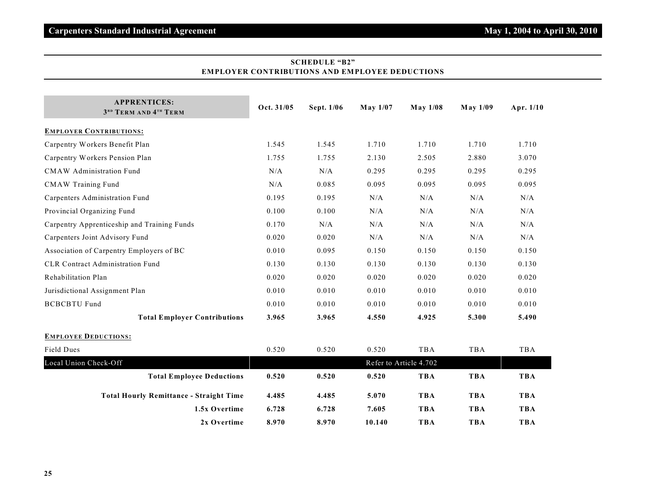| <b>APPRENTICES:</b><br>3 <sup>RD</sup> TERM AND 4 <sup>TH</sup> TERM | Oct. 31/05 | Sept. 1/06 | May 1/07 | <b>May 1/08</b>        | <b>May 1/09</b> | Apr. 1/10  |
|----------------------------------------------------------------------|------------|------------|----------|------------------------|-----------------|------------|
| <b>EMPLOYER CONTRIBUTIONS:</b>                                       |            |            |          |                        |                 |            |
| Carpentry Workers Benefit Plan                                       | 1.545      | 1.545      | 1.710    | 1.710                  | 1.710           | 1.710      |
| Carpentry Workers Pension Plan                                       | 1.755      | 1.755      | 2.130    | 2.505                  | 2.880           | 3.070      |
| <b>CMAW</b> Administration Fund                                      | N/A        | N/A        | 0.295    | 0.295                  | 0.295           | 0.295      |
| <b>CMAW Training Fund</b>                                            | N/A        | 0.085      | 0.095    | 0.095                  | 0.095           | 0.095      |
| Carpenters Administration Fund                                       | 0.195      | 0.195      | N/A      | N/A                    | N/A             | N/A        |
| Provincial Organizing Fund                                           | 0.100      | 0.100      | N/A      | N/A                    | N/A             | N/A        |
| Carpentry Apprenticeship and Training Funds                          | 0.170      | N/A        | N/A      | N/A                    | N/A             | N/A        |
| Carpenters Joint Advisory Fund                                       | 0.020      | 0.020      | N/A      | N/A                    | N/A             | N/A        |
| Association of Carpentry Employers of BC                             | 0.010      | 0.095      | 0.150    | 0.150                  | 0.150           | 0.150      |
| <b>CLR Contract Administration Fund</b>                              | 0.130      | 0.130      | 0.130    | 0.130                  | 0.130           | 0.130      |
| Rehabilitation Plan                                                  | 0.020      | 0.020      | 0.020    | 0.020                  | 0.020           | 0.020      |
| Jurisdictional Assignment Plan                                       | 0.010      | 0.010      | 0.010    | 0.010                  | 0.010           | 0.010      |
| <b>BCBCBTU Fund</b>                                                  | 0.010      | 0.010      | 0.010    | 0.010                  | 0.010           | 0.010      |
| <b>Total Employer Contributions</b>                                  | 3.965      | 3.965      | 4.550    | 4.925                  | 5.300           | 5.490      |
| <b>EMPLOYEE DEDUCTIONS:</b>                                          |            |            |          |                        |                 |            |
| Field Dues                                                           | 0.520      | 0.520      | 0.520    | TBA                    | TBA             | <b>TBA</b> |
| Local Union Check-Off                                                |            |            |          | Refer to Article 4.702 |                 |            |
| <b>Total Employee Deductions</b>                                     | 0.520      | 0.520      | 0.520    | <b>TBA</b>             | <b>TBA</b>      | <b>TBA</b> |
| <b>Total Hourly Remittance - Straight Time</b>                       | 4.485      | 4.485      | 5.070    | <b>TBA</b>             | <b>TBA</b>      | <b>TBA</b> |
| 1.5x Overtime                                                        | 6.728      | 6.728      | 7.605    | <b>TBA</b>             | <b>TBA</b>      | <b>TBA</b> |
| 2x Overtime                                                          | 8.970      | 8.970      | 10.140   | <b>TBA</b>             | <b>TBA</b>      | <b>TBA</b> |

# **SCHEDULE "B2" EMPLOYER CONTRIBUTIONS AND EMPLOYEE DEDUCTIONS**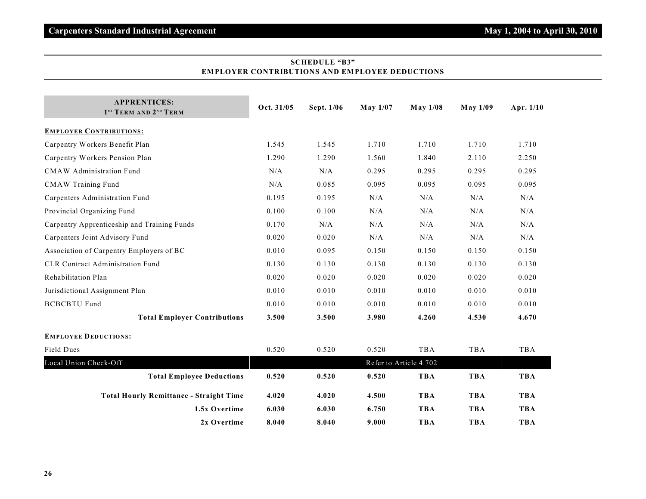| <b>APPRENTICES:</b><br>1 <sup>ST</sup> TERM AND 2 <sup>ND</sup> TERM | Oct. 31/05 | Sept. 1/06 | May 1/07 | <b>May 1/08</b>        | <b>May 1/09</b> | Apr. 1/10  |
|----------------------------------------------------------------------|------------|------------|----------|------------------------|-----------------|------------|
| <b>EMPLOYER CONTRIBUTIONS:</b>                                       |            |            |          |                        |                 |            |
| Carpentry Workers Benefit Plan                                       | 1.545      | 1.545      | 1.710    | 1.710                  | 1.710           | 1.710      |
| Carpentry Workers Pension Plan                                       | 1.290      | 1.290      | 1.560    | 1.840                  | 2.110           | 2.250      |
| <b>CMAW</b> Administration Fund                                      | N/A        | N/A        | 0.295    | 0.295                  | 0.295           | 0.295      |
| <b>CMAW Training Fund</b>                                            | N/A        | 0.085      | 0.095    | 0.095                  | 0.095           | 0.095      |
| Carpenters Administration Fund                                       | 0.195      | 0.195      | N/A      | N/A                    | N/A             | N/A        |
| Provincial Organizing Fund                                           | 0.100      | 0.100      | N/A      | N/A                    | N/A             | N/A        |
| Carpentry Apprenticeship and Training Funds                          | 0.170      | N/A        | N/A      | N/A                    | N/A             | N/A        |
| Carpenters Joint Advisory Fund                                       | 0.020      | 0.020      | N/A      | N/A                    | N/A             | N/A        |
| Association of Carpentry Employers of BC                             | 0.010      | 0.095      | 0.150    | 0.150                  | 0.150           | 0.150      |
| <b>CLR Contract Administration Fund</b>                              | 0.130      | 0.130      | 0.130    | 0.130                  | 0.130           | 0.130      |
| Rehabilitation Plan                                                  | 0.020      | 0.020      | 0.020    | 0.020                  | 0.020           | 0.020      |
| Jurisdictional Assignment Plan                                       | 0.010      | 0.010      | 0.010    | 0.010                  | 0.010           | 0.010      |
| <b>BCBCBTU Fund</b>                                                  | 0.010      | 0.010      | 0.010    | 0.010                  | 0.010           | 0.010      |
| <b>Total Employer Contributions</b>                                  | 3.500      | 3.500      | 3.980    | 4.260                  | 4.530           | 4.670      |
| <b>EMPLOYEE DEDUCTIONS:</b>                                          |            |            |          |                        |                 |            |
| Field Dues                                                           | 0.520      | 0.520      | 0.520    | TBA                    | TBA             | TBA        |
| Local Union Check-Off                                                |            |            |          | Refer to Article 4.702 |                 |            |
| <b>Total Employee Deductions</b>                                     | 0.520      | 0.520      | 0.520    | <b>TBA</b>             | <b>TBA</b>      | <b>TBA</b> |
| <b>Total Hourly Remittance - Straight Time</b>                       | 4.020      | 4.020      | 4.500    | <b>TBA</b>             | <b>TBA</b>      | <b>TBA</b> |
| 1.5x Overtime                                                        | 6.030      | 6.030      | 6.750    | <b>TBA</b>             | <b>TBA</b>      | <b>TBA</b> |
| 2x Overtime                                                          | 8.040      | 8.040      | 9.000    | <b>TBA</b>             | <b>TBA</b>      | <b>TBA</b> |

# **SCHEDULE "B3" EMPLOYER CONTRIBUTIONS AND EMPLOYEE DEDUCTIONS**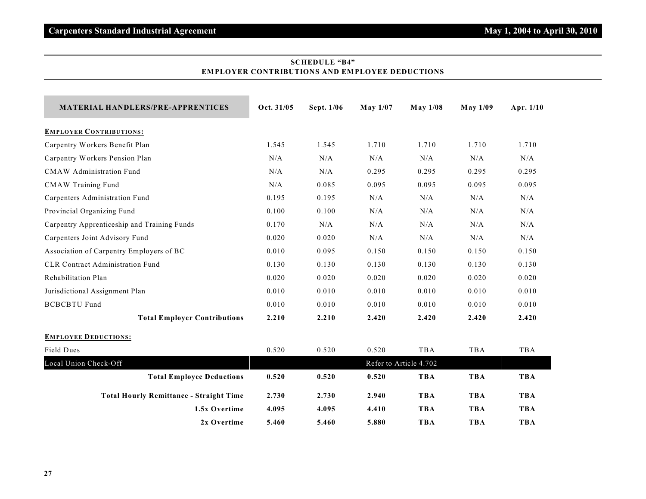# **SCHEDULE "B4" EMPLOYER CONTRIBUTIONS AND EMPLOYEE DEDUCTIONS**

| <b>MATERIAL HANDLERS/PRE-APPRENTICES</b>       | Oct. 31/05 | Sept. 1/06 | <b>May 1/07</b> | <b>May 1/08</b>        | May 1/09   | Apr. $1/10$ |
|------------------------------------------------|------------|------------|-----------------|------------------------|------------|-------------|
| <b>EMPLOYER CONTRIBUTIONS:</b>                 |            |            |                 |                        |            |             |
| Carpentry Workers Benefit Plan                 | 1.545      | 1.545      | 1.710           | 1.710                  | 1.710      | 1.710       |
| Carpentry Workers Pension Plan                 | N/A        | N/A        | N/A             | N/A                    | N/A        | N/A         |
| <b>CMAW</b> Administration Fund                | N/A        | N/A        | 0.295           | 0.295                  | 0.295      | 0.295       |
| <b>CMAW Training Fund</b>                      | N/A        | 0.085      | 0.095           | 0.095                  | 0.095      | 0.095       |
| Carpenters Administration Fund                 | 0.195      | 0.195      | N/A             | N/A                    | N/A        | N/A         |
| Provincial Organizing Fund                     | 0.100      | 0.100      | N/A             | N/A                    | N/A        | N/A         |
| Carpentry Apprenticeship and Training Funds    | 0.170      | N/A        | N/A             | N/A                    | N/A        | N/A         |
| Carpenters Joint Advisory Fund                 | 0.020      | 0.020      | N/A             | N/A                    | N/A        | N/A         |
| Association of Carpentry Employers of BC       | 0.010      | 0.095      | 0.150           | 0.150                  | 0.150      | 0.150       |
| <b>CLR</b> Contract Administration Fund        | 0.130      | 0.130      | 0.130           | 0.130                  | 0.130      | 0.130       |
| Rehabilitation Plan                            | 0.020      | 0.020      | 0.020           | 0.020                  | 0.020      | 0.020       |
| Jurisdictional Assignment Plan                 | 0.010      | 0.010      | 0.010           | 0.010                  | 0.010      | 0.010       |
| <b>BCBCBTU Fund</b>                            | 0.010      | 0.010      | 0.010           | 0.010                  | 0.010      | 0.010       |
| <b>Total Employer Contributions</b>            | 2.210      | 2.210      | 2.420           | 2.420                  | 2.420      | 2.420       |
| <b>EMPLOYEE DEDUCTIONS:</b>                    |            |            |                 |                        |            |             |
| <b>Field Dues</b>                              | 0.520      | 0.520      | 0.520           | <b>TBA</b>             | <b>TBA</b> | <b>TBA</b>  |
| Local Union Check-Off                          |            |            |                 | Refer to Article 4.702 |            |             |
| <b>Total Employee Deductions</b>               | 0.520      | 0.520      | 0.520           | <b>TBA</b>             | <b>TBA</b> | <b>TBA</b>  |
| <b>Total Hourly Remittance - Straight Time</b> | 2.730      | 2.730      | 2.940           | <b>TBA</b>             | <b>TBA</b> | <b>TBA</b>  |
| 1.5x Overtime                                  | 4.095      | 4.095      | 4.410           | <b>TBA</b>             | <b>TBA</b> | <b>TBA</b>  |
| 2x Overtime                                    | 5.460      | 5.460      | 5.880           | <b>TBA</b>             | <b>TBA</b> | <b>TBA</b>  |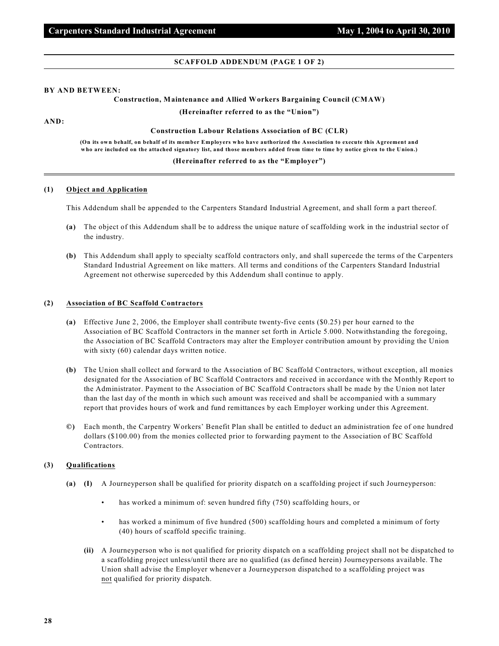#### **SCAFFOLD ADDENDUM (PAGE 1 OF 2)**

#### **BY AND BETWEEN:**

## **Construction, Maintenance and Allied Workers Bargaining Council (CMAW)**

**(Hereinafter referred to as the "Union")**

**AND:**

#### **Construction Labour Relations Association of BC (CLR)**

**(On its own behalf, on behalf of its member Employers who have authorized the Association to execute this Agreement and who are included on the attached signatory list, and those members added from time to time by notice given to the Union.)**

#### **(Hereinafter referred to as the "Employer")**

#### **(1) Object and Application**

This Addendum shall be appended to the Carpenters Standard Industrial Agreement, and shall form a part thereof.

- **(a)** The object of this Addendum shall be to address the unique nature of scaffolding work in the industrial sector of the industry.
- **(b)** This Addendum shall apply to specialty scaffold contractors only, and shall supercede the terms of the Carpenters Standard Industrial Agreement on like matters. All terms and conditions of the Carpenters Standard Industrial Agreement not otherwise superceded by this Addendum shall continue to apply.

#### **(2) Association of BC Scaffold Contractors**

- **(a)** Effective June 2, 2006, the Employer shall contribute twenty-five cents (\$0.25) per hour earned to the Association of BC Scaffold Contractors in the manner set forth in Article 5.000. Notwithstanding the foregoing, the Association of BC Scaffold Contractors may alter the Employer contribution amount by providing the Union with sixty (60) calendar days written notice.
- **(b)** The Union shall collect and forward to the Association of BC Scaffold Contractors, without exception, all monies designated for the Association of BC Scaffold Contractors and received in accordance with the Monthly Report to the Administrator. Payment to the Association of BC Scaffold Contractors shall be made by the Union not later than the last day of the month in which such amount was received and shall be accompanied with a summary report that provides hours of work and fund remittances by each Employer working under this Agreement.
- **©)** Each month, the Carpentry Workers' Benefit Plan shall be entitled to deduct an administration fee of one hundred dollars (\$100.00) from the monies collected prior to forwarding payment to the Association of BC Scaffold Contractors.

#### **(3) Qualifications**

- **(a) (I)** A Journeyperson shall be qualified for priority dispatch on a scaffolding project if such Journeyperson:
	- has worked a minimum of: seven hundred fifty (750) scaffolding hours, or
	- has worked a minimum of five hundred (500) scaffolding hours and completed a minimum of forty (40) hours of scaffold specific training.
	- **(ii)** A Journeyperson who is not qualified for priority dispatch on a scaffolding project shall not be dispatched to a scaffolding project unless/until there are no qualified (as defined herein) Journeypersons available. The Union shall advise the Employer whenever a Journeyperson dispatched to a scaffolding project was not qualified for priority dispatch.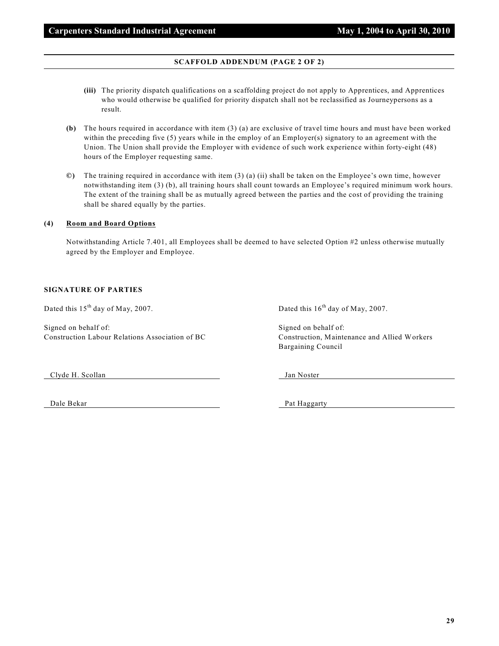# **SCAFFOLD ADDENDUM (PAGE 2 OF 2)**

- **(iii)** The priority dispatch qualifications on a scaffolding project do not apply to Apprentices, and Apprentices who would otherwise be qualified for priority dispatch shall not be reclassified as Journeypersons as a result.
- **(b)** The hours required in accordance with item (3) (a) are exclusive of travel time hours and must have been worked within the preceding five (5) years while in the employ of an Employer(s) signatory to an agreement with the Union. The Union shall provide the Employer with evidence of such work experience within forty-eight (48) hours of the Employer requesting same.
- **©)** The training required in accordance with item (3) (a) (ii) shall be taken on the Employee's own time, however notwithstanding item (3) (b), all training hours shall count towards an Employee's required minimum work hours. The extent of the training shall be as mutually agreed between the parties and the cost of providing the training shall be shared equally by the parties.

## **(4) Room and Board Options**

Notwithstanding Article 7.401, all Employees shall be deemed to have selected Option #2 unless otherwise mutually agreed by the Employer and Employee.

#### **SIGNATURE OF PARTIES**

Dated this  $15<sup>th</sup>$  day of May, 2007. Dated this  $16<sup>th</sup>$  day of May, 2007.

Signed on behalf of: Signed on behalf of: Signed on behalf of: Construction Labour Relations Association of BC Construction, Maintenance and Allied Workers

Bargaining Council

Clyde H. Scollan Jan Noster

Dale Bekar Pat Haggarty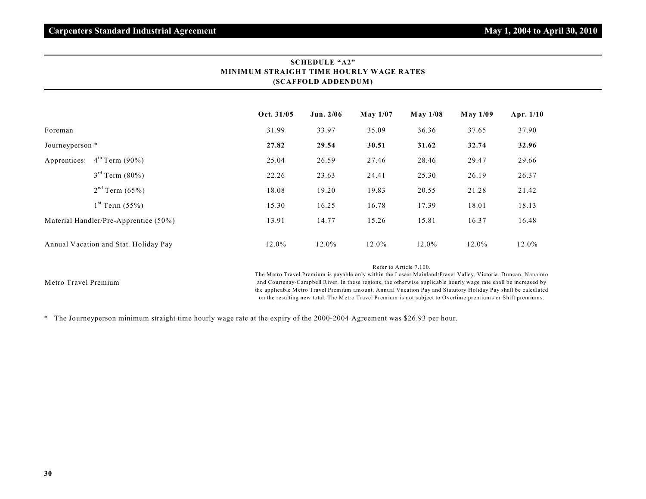|                                       | MINIMUM STRAIGHT TIME HOURLY WAGE RATES<br>(SCAFFOLD ADDENDUM) |             |                 |             |          |           |
|---------------------------------------|----------------------------------------------------------------|-------------|-----------------|-------------|----------|-----------|
|                                       | Oct. 31/05                                                     | Jun. $2/06$ | <b>May 1/07</b> | $M$ ay 1/08 | May 1/09 | Apr. 1/10 |
| Foreman                               | 31.99                                                          | 33.97       | 35.09           | 36.36       | 37.65    | 37.90     |
| Journeyperson *                       | 27.82                                                          | 29.54       | 30.51           | 31.62       | 32.74    | 32.96     |
| $4^{th}$ Term (90%)<br>Apprentices:   | 25.04                                                          | 26.59       | 27.46           | 28.46       | 29.47    | 29.66     |
| $3^{rd}$ Term (80%)                   | 22.26                                                          | 23.63       | 24.41           | 25.30       | 26.19    | 26.37     |
| $2nd$ Term (65%)                      | 18.08                                                          | 19.20       | 19.83           | 20.55       | 21.28    | 21.42     |
| $1st$ Term (55%)                      | 15.30                                                          | 16.25       | 16.78           | 17.39       | 18.01    | 18.13     |
| Material Handler/Pre-Apprentice (50%) | 13.91                                                          | 14.77       | 15.26           | 15.81       | 16.37    | 16.48     |
| Annual Vacation and Stat. Holiday Pay | 12.0%                                                          | 12.0%       | 12.0%           | 12.0%       | 12.0%    | 12.0%     |

# **SCHEDULE "A2" MINIMUM STRAIGHT TIME HOURLY WAGE RATES**

Refer to Article 7.100.

Metro Travel Premium

The Metro Travel Premium is payable only within the Lower Mainland/Fraser Valley, Victoria, Duncan, Nanaimo and Courtenay-Campbell River. In these regions, the otherwise applicable hourly wage rate shall be increased by the applicable Metro Travel Premium amount. Annual Vacation Pay and Statutory Holiday Pay shall be calculated on the resulting new total. The Metro Travel Premium is not subject to Overtime premiums or Shift premiums.

\* The Journeyperson minimum straight time hourly wage rate at the expiry of the 2000-2004 Agreement was \$26.93 per hour.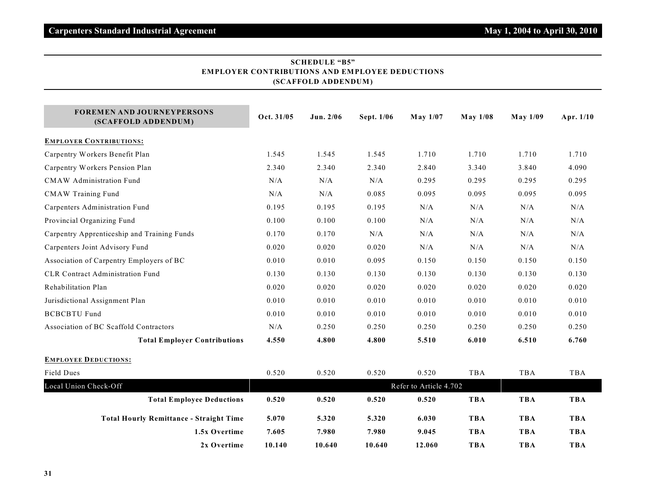| <b>FOREMEN AND JOURNEYPERSONS</b><br>(SCAFFOLD ADDENDUM) | Oct. 31/05 | Jun. 2/06 | Sept. 1/06 | May 1/07               | <b>May 1/08</b> | <b>May 1/09</b> | Apr. 1/10  |
|----------------------------------------------------------|------------|-----------|------------|------------------------|-----------------|-----------------|------------|
| <b>EMPLOYER CONTRIBUTIONS:</b>                           |            |           |            |                        |                 |                 |            |
| Carpentry Workers Benefit Plan                           | 1.545      | 1.545     | 1.545      | 1.710                  | 1.710           | 1.710           | 1.710      |
| Carpentry Workers Pension Plan                           | 2.340      | 2.340     | 2.340      | 2.840                  | 3.340           | 3.840           | 4.090      |
| <b>CMAW</b> Administration Fund                          | N/A        | N/A       | N/A        | 0.295                  | 0.295           | 0.295           | 0.295      |
| <b>CMAW Training Fund</b>                                | N/A        | N/A       | 0.085      | 0.095                  | 0.095           | 0.095           | 0.095      |
| Carpenters Administration Fund                           | 0.195      | 0.195     | 0.195      | N/A                    | N/A             | N/A             | N/A        |
| Provincial Organizing Fund                               | 0.100      | 0.100     | 0.100      | N/A                    | N/A             | N/A             | N/A        |
| Carpentry Apprenticeship and Training Funds              | 0.170      | 0.170     | N/A        | N/A                    | N/A             | N/A             | $\rm N/A$  |
| Carpenters Joint Advisory Fund                           | 0.020      | 0.020     | 0.020      | N/A                    | N/A             | N/A             | N/A        |
| Association of Carpentry Employers of BC                 | 0.010      | 0.010     | 0.095      | 0.150                  | 0.150           | 0.150           | 0.150      |
| <b>CLR Contract Administration Fund</b>                  | 0.130      | 0.130     | 0.130      | 0.130                  | 0.130           | 0.130           | 0.130      |
| Rehabilitation Plan                                      | 0.020      | 0.020     | 0.020      | 0.020                  | 0.020           | 0.020           | 0.020      |
| Jurisdictional Assignment Plan                           | 0.010      | 0.010     | 0.010      | 0.010                  | 0.010           | 0.010           | 0.010      |
| <b>BCBCBTU Fund</b>                                      | 0.010      | 0.010     | 0.010      | 0.010                  | 0.010           | 0.010           | 0.010      |
| Association of BC Scaffold Contractors                   | N/A        | 0.250     | 0.250      | 0.250                  | 0.250           | 0.250           | 0.250      |
| <b>Total Employer Contributions</b>                      | 4.550      | 4.800     | 4.800      | 5.510                  | 6.010           | 6.510           | 6.760      |
| <b>EMPLOYEE DEDUCTIONS:</b>                              |            |           |            |                        |                 |                 |            |
| Field Dues                                               | 0.520      | 0.520     | 0.520      | 0.520                  | TBA             | TBA             | TBA        |
| Local Union Check-Off                                    |            |           |            | Refer to Article 4.702 |                 |                 |            |
| <b>Total Employee Deductions</b>                         | 0.520      | 0.520     | 0.520      | 0.520                  | <b>TBA</b>      | <b>TBA</b>      | <b>TBA</b> |
| <b>Total Hourly Remittance - Straight Time</b>           | 5.070      | 5.320     | 5.320      | 6.030                  | <b>TBA</b>      | <b>TBA</b>      | <b>TBA</b> |
| 1.5x Overtime                                            | 7.605      | 7.980     | 7.980      | 9.045                  | <b>TBA</b>      | <b>TBA</b>      | <b>TBA</b> |
| 2x Overtime                                              | 10.140     | 10.640    | 10.640     | 12.060                 | <b>TBA</b>      | <b>TBA</b>      | <b>TBA</b> |

# **SCHEDULE "B5" EMPLOYER CONTRIBUTIONS AND EMPLOYEE DEDUCTIONS (SCAFFOLD ADDENDUM )**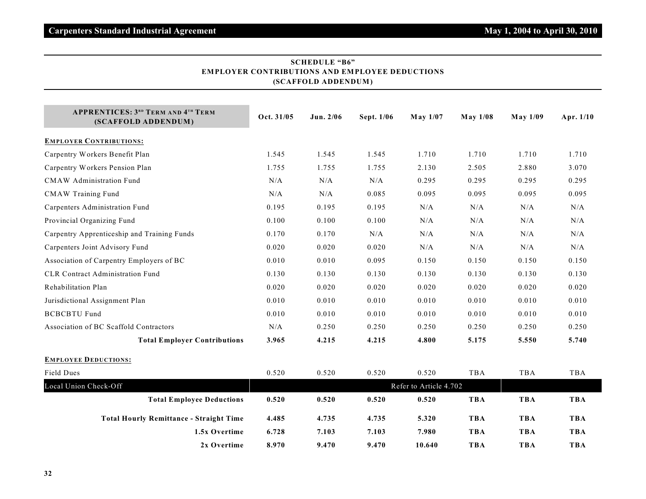| (SCAFFOLD ADDENDUM)                                              |            |           |            |                        |                 |                 |            |  |
|------------------------------------------------------------------|------------|-----------|------------|------------------------|-----------------|-----------------|------------|--|
| <b>APPRENTICES: 3RD TERM AND 4TH TERM</b><br>(SCAFFOLD ADDENDUM) | Oct. 31/05 | Jun. 2/06 | Sept. 1/06 | May 1/07               | <b>May 1/08</b> | <b>May 1/09</b> | Apr. 1/10  |  |
| <b>EMPLOYER CONTRIBUTIONS:</b>                                   |            |           |            |                        |                 |                 |            |  |
| Carpentry Workers Benefit Plan                                   | 1.545      | 1.545     | 1.545      | 1.710                  | 1.710           | 1.710           | 1.710      |  |
| Carpentry Workers Pension Plan                                   | 1.755      | 1.755     | 1.755      | 2.130                  | 2.505           | 2.880           | 3.070      |  |
| <b>CMAW</b> Administration Fund                                  | N/A        | N/A       | N/A        | 0.295                  | 0.295           | 0.295           | 0.295      |  |
| <b>CMAW Training Fund</b>                                        | N/A        | N/A       | 0.085      | 0.095                  | 0.095           | 0.095           | 0.095      |  |
| Carpenters Administration Fund                                   | 0.195      | 0.195     | 0.195      | N/A                    | N/A             | N/A             | N/A        |  |
| Provincial Organizing Fund                                       | 0.100      | 0.100     | 0.100      | N/A                    | N/A             | N/A             | N/A        |  |
| Carpentry Apprenticeship and Training Funds                      | 0.170      | 0.170     | N/A        | N/A                    | N/A             | N/A             | N/A        |  |
| Carpenters Joint Advisory Fund                                   | 0.020      | 0.020     | 0.020      | $\rm N/A$              | N/A             | N/A             | N/A        |  |
| Association of Carpentry Employers of BC                         | 0.010      | 0.010     | 0.095      | 0.150                  | 0.150           | 0.150           | 0.150      |  |
| <b>CLR Contract Administration Fund</b>                          | 0.130      | 0.130     | 0.130      | 0.130                  | 0.130           | 0.130           | 0.130      |  |
| Rehabilitation Plan                                              | 0.020      | 0.020     | 0.020      | 0.020                  | 0.020           | 0.020           | 0.020      |  |
| Jurisdictional Assignment Plan                                   | 0.010      | 0.010     | 0.010      | 0.010                  | 0.010           | 0.010           | 0.010      |  |
| <b>BCBCBTU Fund</b>                                              | 0.010      | 0.010     | 0.010      | 0.010                  | 0.010           | 0.010           | 0.010      |  |
| Association of BC Scaffold Contractors                           | N/A        | 0.250     | 0.250      | 0.250                  | 0.250           | 0.250           | 0.250      |  |
| <b>Total Employer Contributions</b>                              | 3.965      | 4.215     | 4.215      | 4.800                  | 5.175           | 5.550           | 5.740      |  |
| <b>EMPLOYEE DEDUCTIONS:</b>                                      |            |           |            |                        |                 |                 |            |  |
| Field Dues                                                       | 0.520      | 0.520     | 0.520      | 0.520                  | <b>TBA</b>      | TBA             | TBA        |  |
| Local Union Check-Off                                            |            |           |            | Refer to Article 4.702 |                 |                 |            |  |
| <b>Total Employee Deductions</b>                                 | 0.520      | 0.520     | 0.520      | 0.520                  | <b>TBA</b>      | <b>TBA</b>      | <b>TBA</b> |  |
| <b>Total Hourly Remittance - Straight Time</b>                   | 4.485      | 4.735     | 4.735      | 5.320                  | <b>TBA</b>      | <b>TBA</b>      | <b>TBA</b> |  |
| 1.5x Overtime                                                    | 6.728      | 7.103     | 7.103      | 7.980                  | <b>TBA</b>      | <b>TBA</b>      | <b>TBA</b> |  |
| 2x Overtime                                                      | 8.970      | 9.470     | 9.470      | 10.640                 | <b>TBA</b>      | <b>TBA</b>      | <b>TBA</b> |  |

# **SCHEDULE "B6" EMPLOYER CONTRIBUTIONS AND EMPLOYEE DEDUCTIONS**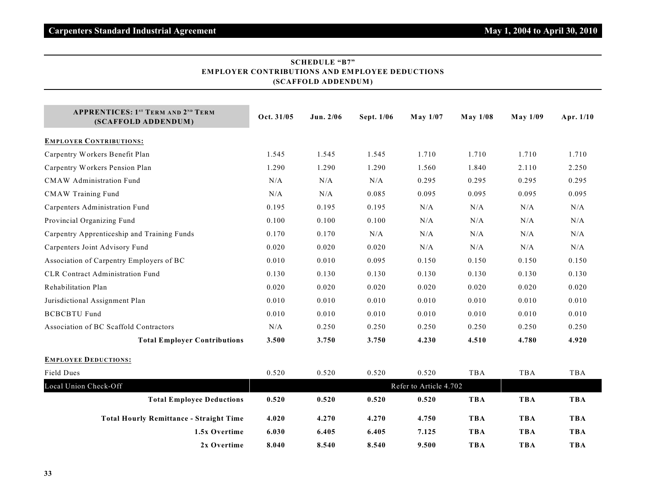| (SCAFFOLD ADDENDUM)                                              |                        |           |            |          |                 |               |            |  |
|------------------------------------------------------------------|------------------------|-----------|------------|----------|-----------------|---------------|------------|--|
| <b>APPRENTICES: 1ST TERM AND 2ND TERM</b><br>(SCAFFOLD ADDENDUM) | Oct. 31/05             | Jun. 2/06 | Sept. 1/06 | May 1/07 | <b>May 1/08</b> | $M$ ay $1/09$ | Apr. 1/10  |  |
| <b>EMPLOYER CONTRIBUTIONS:</b>                                   |                        |           |            |          |                 |               |            |  |
| Carpentry Workers Benefit Plan                                   | 1.545                  | 1.545     | 1.545      | 1.710    | 1.710           | 1.710         | 1.710      |  |
| Carpentry Workers Pension Plan                                   | 1.290                  | 1.290     | 1.290      | 1.560    | 1.840           | 2.110         | 2.250      |  |
| <b>CMAW</b> Administration Fund                                  | N/A                    | N/A       | N/A        | 0.295    | 0.295           | 0.295         | 0.295      |  |
| <b>CMAW Training Fund</b>                                        | $\rm N/A$              | $\rm N/A$ | 0.085      | 0.095    | 0.095           | 0.095         | 0.095      |  |
| Carpenters Administration Fund                                   | 0.195                  | 0.195     | 0.195      | N/A      | N/A             | N/A           | $\rm N/A$  |  |
| Provincial Organizing Fund                                       | 0.100                  | 0.100     | 0.100      | N/A      | N/A             | N/A           | $\rm N/A$  |  |
| Carpentry Apprenticeship and Training Funds                      | 0.170                  | 0.170     | N/A        | N/A      | N/A             | N/A           | $\rm N/A$  |  |
| Carpenters Joint Advisory Fund                                   | 0.020                  | 0.020     | 0.020      | N/A      | N/A             | N/A           | N/A        |  |
| Association of Carpentry Employers of BC                         | 0.010                  | 0.010     | 0.095      | 0.150    | 0.150           | 0.150         | 0.150      |  |
| <b>CLR Contract Administration Fund</b>                          | 0.130                  | 0.130     | 0.130      | 0.130    | 0.130           | 0.130         | 0.130      |  |
| Rehabilitation Plan                                              | 0.020                  | 0.020     | 0.020      | 0.020    | 0.020           | 0.020         | 0.020      |  |
| Jurisdictional Assignment Plan                                   | 0.010                  | 0.010     | 0.010      | 0.010    | 0.010           | 0.010         | 0.010      |  |
| <b>BCBCBTU Fund</b>                                              | 0.010                  | 0.010     | 0.010      | 0.010    | 0.010           | 0.010         | 0.010      |  |
| Association of BC Scaffold Contractors                           | N/A                    | 0.250     | 0.250      | 0.250    | 0.250           | 0.250         | 0.250      |  |
| <b>Total Employer Contributions</b>                              | 3.500                  | 3.750     | 3.750      | 4.230    | 4.510           | 4.780         | 4.920      |  |
| <b>EMPLOYEE DEDUCTIONS:</b>                                      |                        |           |            |          |                 |               |            |  |
| Field Dues                                                       | 0.520                  | 0.520     | 0.520      | 0.520    | <b>TBA</b>      | TBA           | TBA        |  |
| Local Union Check-Off                                            | Refer to Article 4.702 |           |            |          |                 |               |            |  |
| <b>Total Employee Deductions</b>                                 | 0.520                  | 0.520     | 0.520      | 0.520    | <b>TBA</b>      | <b>TBA</b>    | <b>TBA</b> |  |
| <b>Total Hourly Remittance - Straight Time</b>                   | 4.020                  | 4.270     | 4.270      | 4.750    | <b>TBA</b>      | <b>TBA</b>    | <b>TBA</b> |  |
| 1.5x Overtime                                                    | 6.030                  | 6.405     | 6.405      | 7.125    | <b>TBA</b>      | <b>TBA</b>    | <b>TBA</b> |  |
| 2x Overtime                                                      | 8.040                  | 8.540     | 8.540      | 9.500    | <b>TBA</b>      | <b>TBA</b>    | <b>TBA</b> |  |

# **SCHEDULE "B7" EMPLOYER CONTRIBUTIONS AND EMPLOYEE DEDUCTIONS**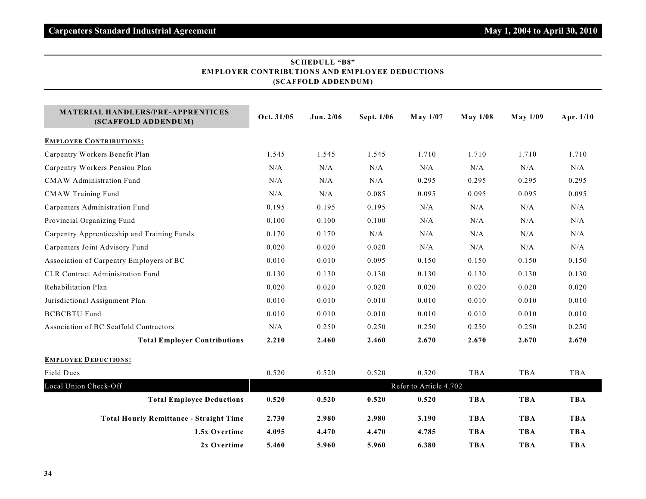| ER CONTRIBUTIONS AND EMIT DO I<br>(SCAFFOLD ADDENDUM)    |                        |           |            |          |                 |                 |             |  |
|----------------------------------------------------------|------------------------|-----------|------------|----------|-----------------|-----------------|-------------|--|
| MATERIAL HANDLERS/PRE-APPRENTICES<br>(SCAFFOLD ADDENDUM) | Oct. 31/05             | Jun. 2/06 | Sept. 1/06 | May 1/07 | <b>May 1/08</b> | <b>May 1/09</b> | Apr. $1/10$ |  |
| <b>EMPLOYER CONTRIBUTIONS:</b>                           |                        |           |            |          |                 |                 |             |  |
| Carpentry Workers Benefit Plan                           | 1.545                  | 1.545     | 1.545      | 1.710    | 1.710           | 1.710           | 1.710       |  |
| Carpentry Workers Pension Plan                           | N/A                    | N/A       | N/A        | N/A      | N/A             | N/A             | N/A         |  |
| <b>CMAW</b> Administration Fund                          | N/A                    | N/A       | N/A        | 0.295    | 0.295           | 0.295           | 0.295       |  |
| <b>CMAW Training Fund</b>                                | N/A                    | N/A       | 0.085      | 0.095    | 0.095           | 0.095           | 0.095       |  |
| Carpenters Administration Fund                           | 0.195                  | 0.195     | 0.195      | N/A      | N/A             | N/A             | $\rm N/A$   |  |
| Provincial Organizing Fund                               | 0.100                  | 0.100     | 0.100      | N/A      | N/A             | N/A             | N/A         |  |
| Carpentry Apprenticeship and Training Funds              | 0.170                  | 0.170     | N/A        | N/A      | N/A             | N/A             | N/A         |  |
| Carpenters Joint Advisory Fund                           | 0.020                  | 0.020     | 0.020      | N/A      | N/A             | N/A             | $\rm N/A$   |  |
| Association of Carpentry Employers of BC                 | 0.010                  | 0.010     | 0.095      | 0.150    | 0.150           | 0.150           | 0.150       |  |
| <b>CLR Contract Administration Fund</b>                  | 0.130                  | 0.130     | 0.130      | 0.130    | 0.130           | 0.130           | 0.130       |  |
| Rehabilitation Plan                                      | 0.020                  | 0.020     | 0.020      | 0.020    | 0.020           | 0.020           | 0.020       |  |
| Jurisdictional Assignment Plan                           | 0.010                  | 0.010     | 0.010      | 0.010    | 0.010           | 0.010           | 0.010       |  |
| <b>BCBCBTU Fund</b>                                      | 0.010                  | 0.010     | 0.010      | 0.010    | 0.010           | 0.010           | 0.010       |  |
| Association of BC Scaffold Contractors                   | N/A                    | 0.250     | 0.250      | 0.250    | 0.250           | 0.250           | 0.250       |  |
| <b>Total Employer Contributions</b>                      | 2.210                  | 2.460     | 2.460      | 2.670    | 2.670           | 2.670           | 2.670       |  |
| <b>EMPLOYEE DEDUCTIONS:</b>                              |                        |           |            |          |                 |                 |             |  |
| <b>Field Dues</b>                                        | 0.520                  | 0.520     | 0.520      | 0.520    | TBA             | TBA             | TBA         |  |
| Local Union Check-Off                                    | Refer to Article 4.702 |           |            |          |                 |                 |             |  |
| <b>Total Employee Deductions</b>                         | 0.520                  | 0.520     | 0.520      | 0.520    | <b>TBA</b>      | <b>TBA</b>      | <b>TBA</b>  |  |
| <b>Total Hourly Remittance - Straight Time</b>           | 2.730                  | 2.980     | 2.980      | 3.190    | <b>TBA</b>      | <b>TBA</b>      | <b>TBA</b>  |  |
| 1.5x Overtime                                            | 4.095                  | 4.470     | 4.470      | 4.785    | TBA             | <b>TBA</b>      | <b>TBA</b>  |  |
| 2x Overtime                                              | 5.460                  | 5.960     | 5.960      | 6.380    | TBA             | TBA             | <b>TBA</b>  |  |

# **SCHEDULE "B8" EMPLOYER CONTRIBUTIONS AND EMPLOYEE DEDUCTIONS**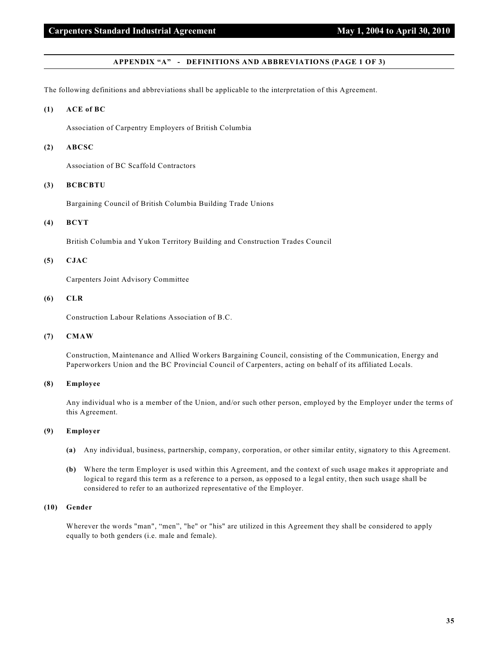#### **APPENDIX "A" - DEFINITIONS AND ABBREVIATIONS (PAGE 1 OF 3)**

The following definitions and abbreviations shall be applicable to the interpretation of this Agreement.

#### **(1) ACE of BC**

Association of Carpentry Employers of British Columbia

#### **(2) ABCSC**

Association of BC Scaffold Contractors

### **(3) BCBCBTU**

Bargaining Council of British Columbia Building Trade Unions

#### **(4) BCYT**

British Columbia and Yukon Territory Building and Construction Trades Council

### **(5) CJAC**

Carpenters Joint Advisory Committee

#### **(6) CLR**

Construction Labour Relations Association of B.C.

# **(7) CMAW**

Construction, Maintenance and Allied Workers Bargaining Council, consisting of the Communication, Energy and Paperworkers Union and the BC Provincial Council of Carpenters, acting on behalf of its affiliated Locals.

# **(8) Employee**

Any individual who is a member of the Union, and/or such other person, employed by the Employer under the terms of this Agreement.

#### **(9) Employer**

- **(a)** Any individual, business, partnership, company, corporation, or other similar entity, signatory to this Agreement.
- **(b)** Where the term Employer is used within this Agreement, and the context of such usage makes it appropriate and logical to regard this term as a reference to a person, as opposed to a legal entity, then such usage shall be considered to refer to an authorized representative of the Employer.

#### **(10) Gender**

Wherever the words "man", "men", "he" or "his" are utilized in this Agreement they shall be considered to apply equally to both genders (i.e. male and female).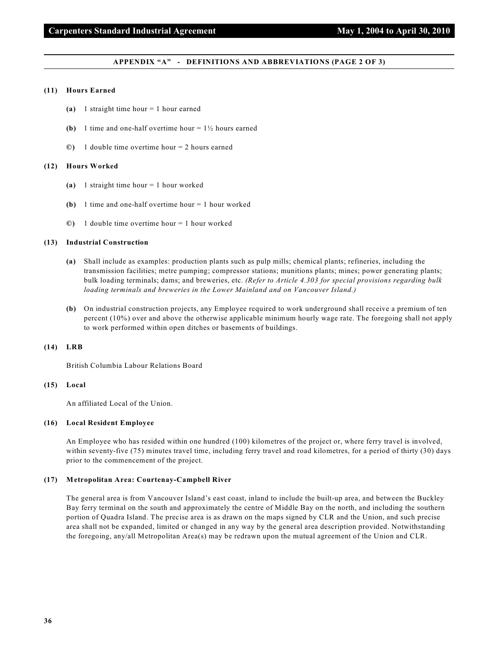#### **APPENDIX "A" - DEFINITIONS AND ABBREVIATIONS (PAGE 2 OF 3)**

#### **(11) Hours Earned**

- **(a)** 1 straight time hour = 1 hour earned
- **(b)** 1 time and one-half overtime hour  $= 1\frac{1}{2}$  hours earned
- **©)** 1 double time overtime hour = 2 hours earned

#### **(12) Hours Worked**

- **(a)** 1 straight time hour = 1 hour worked
- **(b)** 1 time and one-half overtime hour = 1 hour worked
- **©)** 1 double time overtime hour = 1 hour worked

#### **(13) Industrial Construction**

- **(a)** Shall include as examples: production plants such as pulp mills; chemical plants; refineries, including the transmission facilities; metre pumping; compressor stations; munitions plants; mines; power generating plants; bulk loading terminals; dams; and breweries, etc. *(Refer to Article 4.303 for special provisions regarding bulk loading terminals and breweries in the Lower Mainland and on Vancouver Island.)*
- **(b)** On industrial construction projects, any Employee required to work underground shall receive a premium of ten percent (10%) over and above the otherwise applicable minimum hourly wage rate. The foregoing shall not apply to work performed within open ditches or basements of buildings.

#### **(14) LRB**

British Columbia Labour Relations Board

#### **(15) Local**

An affiliated Local of the Union.

#### **(16) Local Resident Employee**

An Employee who has resided within one hundred (100) kilometres of the project or, where ferry travel is involved, within seventy-five (75) minutes travel time, including ferry travel and road kilometres, for a period of thirty (30) days prior to the commencement of the project.

#### **(17) Metropolitan Area: Courtenay-Campbell River**

The general area is from Vancouver Island's east coast, inland to include the built-up area, and between the Buckley Bay ferry terminal on the south and approximately the centre of Middle Bay on the north, and including the southern portion of Quadra Island. The precise area is as drawn on the maps signed by CLR and the Union, and such precise area shall not be expanded, limited or changed in any way by the general area description provided. Notwithstanding the foregoing, any/all Metropolitan Area(s) may be redrawn upon the mutual agreement of the Union and CLR.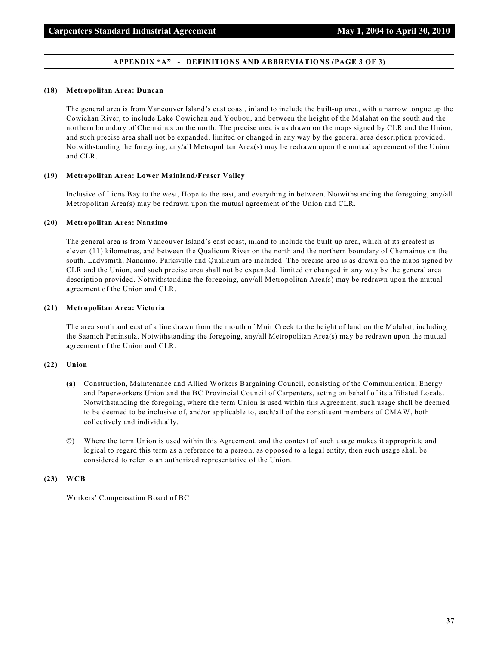#### **APPENDIX "A" - DEFINITIONS AND ABBREVIATIONS (PAGE 3 OF 3)**

#### **(18) Metropolitan Area: Duncan**

The general area is from Vancouver Island's east coast, inland to include the built-up area, with a narrow tongue up the Cowichan River, to include Lake Cowichan and Youbou, and between the height of the Malahat on the south and the northern boundary of Chemainus on the north. The precise area is as drawn on the maps signed by CLR and the Union, and such precise area shall not be expanded, limited or changed in any way by the general area description provided. Notwithstanding the foregoing, any/all Metropolitan Area(s) may be redrawn upon the mutual agreement of the Union and CLR.

## **(19) Metropolitan Area: Lower Mainland/Fraser Valley**

Inclusive of Lions Bay to the west, Hope to the east, and everything in between. Notwithstanding the foregoing, any/all Metropolitan Area(s) may be redrawn upon the mutual agreement of the Union and CLR.

#### **(20) Metropolitan Area: Nanaimo**

The general area is from Vancouver Island's east coast, inland to include the built-up area, which at its greatest is eleven (11) kilometres, and between the Qualicum River on the north and the northern boundary of Chemainus on the south. Ladysmith, Nanaimo, Parksville and Qualicum are included. The precise area is as drawn on the maps signed by CLR and the Union, and such precise area shall not be expanded, limited or changed in any way by the general area description provided. Notwithstanding the foregoing, any/all Metropolitan Area(s) may be redrawn upon the mutual agreement of the Union and CLR.

#### **(21) Metropolitan Area: Victoria**

The area south and east of a line drawn from the mouth of Muir Creek to the height of land on the Malahat, including the Saanich Peninsula. Notwithstanding the foregoing, any/all Metropolitan Area(s) may be redrawn upon the mutual agreement of the Union and CLR.

#### **(22) Union**

- **(a)** Construction, Maintenance and Allied Workers Bargaining Council, consisting of the Communication, Energy and Paperworkers Union and the BC Provincial Council of Carpenters, acting on behalf of its affiliated Locals. Notwithstanding the foregoing, where the term Union is used within this Agreement, such usage shall be deemed to be deemed to be inclusive of, and/or applicable to, each/all of the constituent members of CMAW, both collectively and individually.
- **©)** Where the term Union is used within this Agreement, and the context of such usage makes it appropriate and logical to regard this term as a reference to a person, as opposed to a legal entity, then such usage shall be considered to refer to an authorized representative of the Union.

#### **(23) WCB**

Workers' Compensation Board of BC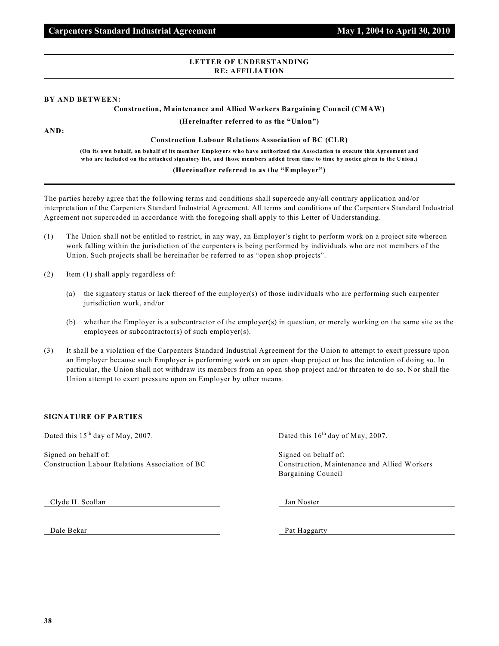## **LETTER OF UNDERSTANDING RE: AFFILIATION**

## **BY AND BETWEEN:**

# **Construction, Maintenance and Allied Workers Bargaining Council (CMAW)**

**(Hereinafter referred to as the "Union")**

**AND:**

## **Construction Labour Relations Association of BC (CLR)**

**(On its own behalf, on behalf of its member Employers who have authorized the Association to execute this Agreement and who are included on the attached signatory list, and those members added from time to time by notice given to the Union.)**

# **(Hereinafter referred to as the "Employer")**

The parties hereby agree that the following terms and conditions shall supercede any/all contrary application and/or interpretation of the Carpenters Standard Industrial Agreement. All terms and conditions of the Carpenters Standard Industrial Agreement not superceded in accordance with the foregoing shall apply to this Letter of Understanding.

- (1) The Union shall not be entitled to restrict, in any way, an Employer's right to perform work on a project site whereon work falling within the jurisdiction of the carpenters is being performed by individuals who are not members of the Union. Such projects shall be hereinafter be referred to as "open shop projects".
- (2) Item (1) shall apply regardless of:
	- (a) the signatory status or lack thereof of the employer(s) of those individuals who are performing such carpenter jurisdiction work, and/or
	- (b) whether the Employer is a subcontractor of the employer(s) in question, or merely working on the same site as the employees or subcontractor(s) of such employer(s).
- (3) It shall be a violation of the Carpenters Standard Industrial Agreement for the Union to attempt to exert pressure upon an Employer because such Employer is performing work on an open shop project or has the intention of doing so. In particular, the Union shall not withdraw its members from an open shop project and/or threaten to do so. Nor shall the Union attempt to exert pressure upon an Employer by other means.

# **SIGNATURE OF PARTIES**

Dated this  $15<sup>th</sup>$  day of May, 2007. Dated this  $16<sup>th</sup>$  day of May, 2007.

Signed on behalf of: Signed on behalf of: Construction Labour Relations Association of BC Construction, Maintenance and Allied Workers

Bargaining Council

Clyde H. Scollan Jan Noster

Dale Bekar Pat Haggarty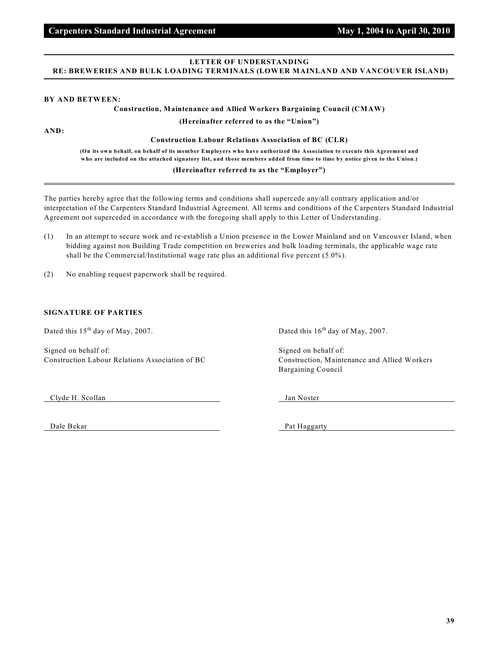# **LETTER OF UNDERSTANDING RE: BREWERIES AND BULK LOADING TERMINALS (LOWER MAINLAND AND VANCOUVER ISLAND)**

#### **BY AND BETWEEN:**

#### **Construction, Maintenance and Allied Workers Bargaining Council (CMAW)**

**(Hereinafter referred to as the "Union")**

**AND:**

**Construction Labour Relations Association of BC (CLR)**

**(On its own behalf, on behalf of its member Employers who have authorized the Association to execute this Agreement and who are included on the attached signatory list, and those members added from time to time by notice given to the Union.)**

# **(Hereinafter referred to as the "Employer")**

The parties hereby agree that the following terms and conditions shall supercede any/all contrary application and/or interpretation of the Carpenters Standard Industrial Agreement. All terms and conditions of the Carpenters Standard Industrial Agreement not superceded in accordance with the foregoing shall apply to this Letter of Understanding.

- (1) In an attempt to secure work and re-establish a Union presence in the Lower Mainland and on Vancouver Island, when bidding against non Building Trade competition on breweries and bulk loading terminals, the applicable wage rate shall be the Commercial/Institutional wage rate plus an additional five percent (5.0%).
- (2) No enabling request paperwork shall be required.

## **SIGNATURE OF PARTIES**

Dated this  $15<sup>th</sup>$  day of May, 2007. Dated this  $16<sup>th</sup>$  day of May, 2007.

Signed on behalf of: Signed on behalf of: Signed on behalf of: Construction Labour Relations Association of BC Construction, Maintenance and Allied Workers

Bargaining Council

Clyde H. Scollan Jan Noster

Dale Bekar Pat Haggarty